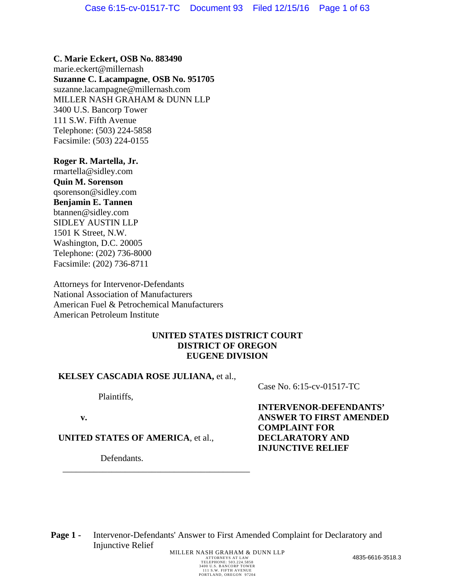**C. Marie Eckert, OSB No. 883490**  marie.eckert@millernash **Suzanne C. Lacampagne**, **OSB No. 951705**  suzanne.lacampagne@millernash.com MILLER NASH GRAHAM & DUNN LLP 3400 U.S. Bancorp Tower 111 S.W. Fifth Avenue Telephone: (503) 224-5858 Facsimile: (503) 224-0155

**Roger R. Martella, Jr.** rmartella@sidley.com **Quin M. Sorenson** qsorenson@sidley.com **Benjamin E. Tannen** btannen@sidley.com SIDLEY AUSTIN LLP 1501 K Street, N.W. Washington, D.C. 20005 Telephone: (202) 736-8000 Facsimile: (202) 736-8711

Attorneys for Intervenor-Defendants National Association of Manufacturers American Fuel & Petrochemical Manufacturers American Petroleum Institute

## **UNITED STATES DISTRICT COURT DISTRICT OF OREGON EUGENE DIVISION**

## **KELSEY CASCADIA ROSE JULIANA,** et al.,

Plaintiffs,

**v.**

**UNITED STATES OF AMERICA**, et al.,

 $\overline{\phantom{a}}$  , which is a set of the set of the set of the set of the set of the set of the set of the set of the set of the set of the set of the set of the set of the set of the set of the set of the set of the set of th

Defendants.

Case No. 6:15-cv-01517-TC

**INTERVENOR-DEFENDANTS' ANSWER TO FIRST AMENDED COMPLAINT FOR DECLARATORY AND INJUNCTIVE RELIEF**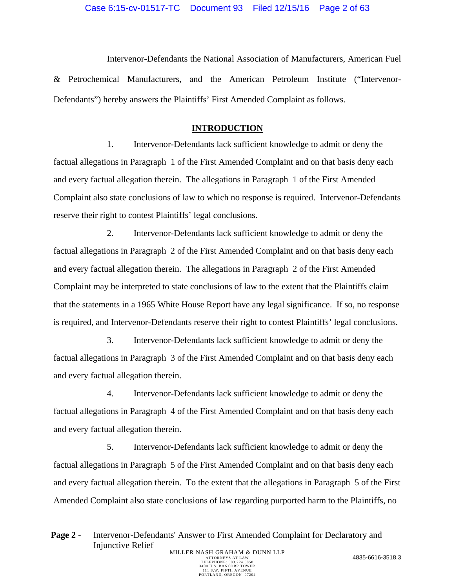Intervenor-Defendants the National Association of Manufacturers, American Fuel & Petrochemical Manufacturers, and the American Petroleum Institute ("Intervenor-Defendants") hereby answers the Plaintiffs' First Amended Complaint as follows.

## **INTRODUCTION**

1. Intervenor-Defendants lack sufficient knowledge to admit or deny the factual allegations in Paragraph 1 of the First Amended Complaint and on that basis deny each and every factual allegation therein. The allegations in Paragraph 1 of the First Amended Complaint also state conclusions of law to which no response is required. Intervenor-Defendants reserve their right to contest Plaintiffs' legal conclusions.

2. Intervenor-Defendants lack sufficient knowledge to admit or deny the factual allegations in Paragraph 2 of the First Amended Complaint and on that basis deny each and every factual allegation therein. The allegations in Paragraph 2 of the First Amended Complaint may be interpreted to state conclusions of law to the extent that the Plaintiffs claim that the statements in a 1965 White House Report have any legal significance. If so, no response is required, and Intervenor-Defendants reserve their right to contest Plaintiffs' legal conclusions.

3. Intervenor-Defendants lack sufficient knowledge to admit or deny the factual allegations in Paragraph 3 of the First Amended Complaint and on that basis deny each and every factual allegation therein.

4. Intervenor-Defendants lack sufficient knowledge to admit or deny the factual allegations in Paragraph 4 of the First Amended Complaint and on that basis deny each and every factual allegation therein.

5. Intervenor-Defendants lack sufficient knowledge to admit or deny the factual allegations in Paragraph 5 of the First Amended Complaint and on that basis deny each and every factual allegation therein. To the extent that the allegations in Paragraph 5 of the First Amended Complaint also state conclusions of law regarding purported harm to the Plaintiffs, no

Page 2 - Intervenor-Defendants' Answer to First Amended Complaint for Declaratory and Injunctive Relief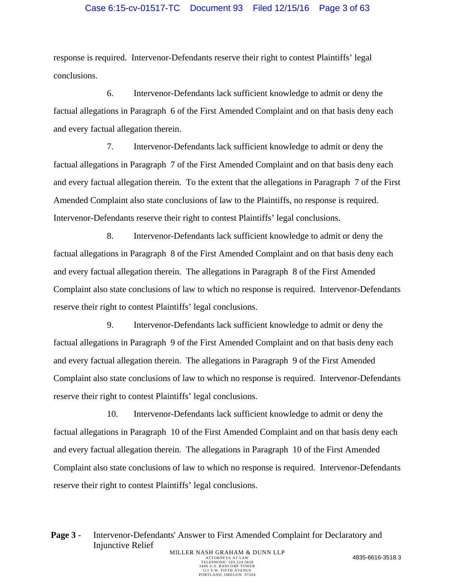## Case 6:15-cv-01517-TC Document 93 Filed 12/15/16 Page 3 of 63

response is required. Intervenor-Defendants reserve their right to contest Plaintiffs' legal conclusions.

6. Intervenor-Defendants lack sufficient knowledge to admit or deny the factual allegations in Paragraph 6 of the First Amended Complaint and on that basis deny each and every factual allegation therein.

7. Intervenor-Defendants lack sufficient knowledge to admit or deny the factual allegations in Paragraph 7 of the First Amended Complaint and on that basis deny each and every factual allegation therein. To the extent that the allegations in Paragraph 7 of the First Amended Complaint also state conclusions of law to the Plaintiffs, no response is required. Intervenor-Defendants reserve their right to contest Plaintiffs' legal conclusions.

8. Intervenor-Defendants lack sufficient knowledge to admit or deny the factual allegations in Paragraph 8 of the First Amended Complaint and on that basis deny each and every factual allegation therein. The allegations in Paragraph 8 of the First Amended Complaint also state conclusions of law to which no response is required. Intervenor-Defendants reserve their right to contest Plaintiffs' legal conclusions.

9. Intervenor-Defendants lack sufficient knowledge to admit or deny the factual allegations in Paragraph 9 of the First Amended Complaint and on that basis deny each and every factual allegation therein. The allegations in Paragraph 9 of the First Amended Complaint also state conclusions of law to which no response is required. Intervenor-Defendants reserve their right to contest Plaintiffs' legal conclusions.

10. Intervenor-Defendants lack sufficient knowledge to admit or deny the factual allegations in Paragraph 10 of the First Amended Complaint and on that basis deny each and every factual allegation therein. The allegations in Paragraph 10 of the First Amended Complaint also state conclusions of law to which no response is required. Intervenor-Defendants reserve their right to contest Plaintiffs' legal conclusions.

Page 3 - Intervenor-Defendants' Answer to First Amended Complaint for Declaratory and Injunctive Relief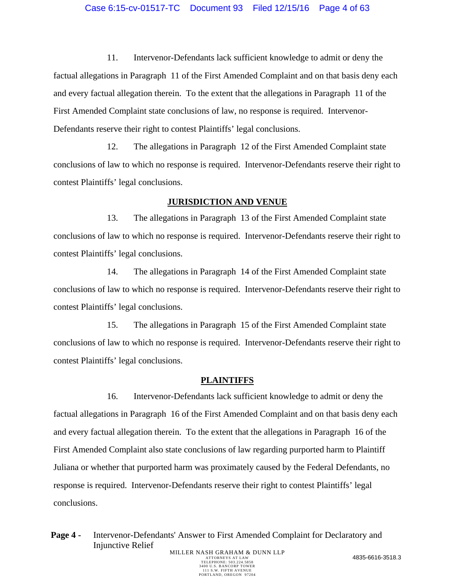11. Intervenor-Defendants lack sufficient knowledge to admit or deny the factual allegations in Paragraph 11 of the First Amended Complaint and on that basis deny each and every factual allegation therein. To the extent that the allegations in Paragraph 11 of the First Amended Complaint state conclusions of law, no response is required. Intervenor-Defendants reserve their right to contest Plaintiffs' legal conclusions.

12. The allegations in Paragraph 12 of the First Amended Complaint state conclusions of law to which no response is required. Intervenor-Defendants reserve their right to contest Plaintiffs' legal conclusions.

#### **JURISDICTION AND VENUE**

13. The allegations in Paragraph 13 of the First Amended Complaint state conclusions of law to which no response is required. Intervenor-Defendants reserve their right to contest Plaintiffs' legal conclusions.

14. The allegations in Paragraph 14 of the First Amended Complaint state conclusions of law to which no response is required. Intervenor-Defendants reserve their right to contest Plaintiffs' legal conclusions.

15. The allegations in Paragraph 15 of the First Amended Complaint state conclusions of law to which no response is required. Intervenor-Defendants reserve their right to contest Plaintiffs' legal conclusions.

## **PLAINTIFFS**

16. Intervenor-Defendants lack sufficient knowledge to admit or deny the factual allegations in Paragraph 16 of the First Amended Complaint and on that basis deny each and every factual allegation therein. To the extent that the allegations in Paragraph 16 of the First Amended Complaint also state conclusions of law regarding purported harm to Plaintiff Juliana or whether that purported harm was proximately caused by the Federal Defendants, no response is required. Intervenor-Defendants reserve their right to contest Plaintiffs' legal conclusions.

Page 4 - Intervenor-Defendants' Answer to First Amended Complaint for Declaratory and Injunctive Relief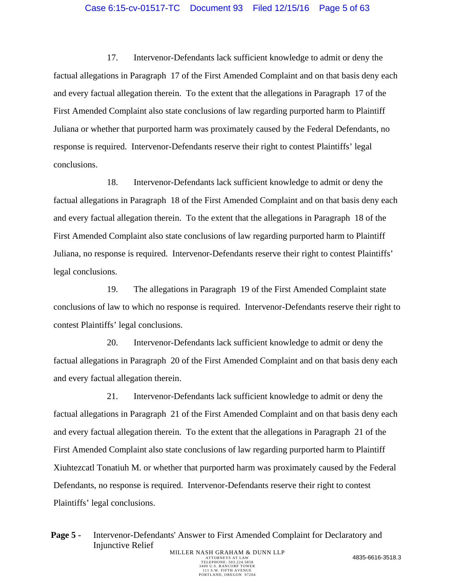## Case 6:15-cv-01517-TC Document 93 Filed 12/15/16 Page 5 of 63

17. Intervenor-Defendants lack sufficient knowledge to admit or deny the factual allegations in Paragraph 17 of the First Amended Complaint and on that basis deny each and every factual allegation therein. To the extent that the allegations in Paragraph 17 of the First Amended Complaint also state conclusions of law regarding purported harm to Plaintiff Juliana or whether that purported harm was proximately caused by the Federal Defendants, no response is required. Intervenor-Defendants reserve their right to contest Plaintiffs' legal conclusions.

18. Intervenor-Defendants lack sufficient knowledge to admit or deny the factual allegations in Paragraph 18 of the First Amended Complaint and on that basis deny each and every factual allegation therein. To the extent that the allegations in Paragraph 18 of the First Amended Complaint also state conclusions of law regarding purported harm to Plaintiff Juliana, no response is required. Intervenor-Defendants reserve their right to contest Plaintiffs' legal conclusions.

19. The allegations in Paragraph 19 of the First Amended Complaint state conclusions of law to which no response is required. Intervenor-Defendants reserve their right to contest Plaintiffs' legal conclusions.

20. Intervenor-Defendants lack sufficient knowledge to admit or deny the factual allegations in Paragraph 20 of the First Amended Complaint and on that basis deny each and every factual allegation therein.

21. Intervenor-Defendants lack sufficient knowledge to admit or deny the factual allegations in Paragraph 21 of the First Amended Complaint and on that basis deny each and every factual allegation therein. To the extent that the allegations in Paragraph 21 of the First Amended Complaint also state conclusions of law regarding purported harm to Plaintiff Xiuhtezcatl Tonatiuh M. or whether that purported harm was proximately caused by the Federal Defendants, no response is required. Intervenor-Defendants reserve their right to contest Plaintiffs' legal conclusions.

Page 5 - Intervenor-Defendants' Answer to First Amended Complaint for Declaratory and Injunctive Relief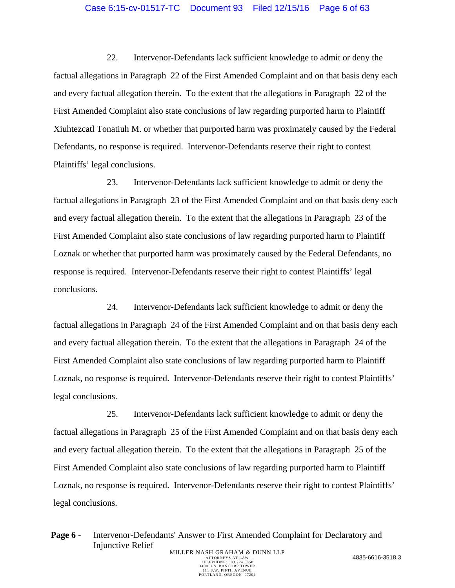## Case 6:15-cv-01517-TC Document 93 Filed 12/15/16 Page 6 of 63

22. Intervenor-Defendants lack sufficient knowledge to admit or deny the factual allegations in Paragraph 22 of the First Amended Complaint and on that basis deny each and every factual allegation therein. To the extent that the allegations in Paragraph 22 of the First Amended Complaint also state conclusions of law regarding purported harm to Plaintiff Xiuhtezcatl Tonatiuh M. or whether that purported harm was proximately caused by the Federal Defendants, no response is required. Intervenor-Defendants reserve their right to contest Plaintiffs' legal conclusions.

23. Intervenor-Defendants lack sufficient knowledge to admit or deny the factual allegations in Paragraph 23 of the First Amended Complaint and on that basis deny each and every factual allegation therein. To the extent that the allegations in Paragraph 23 of the First Amended Complaint also state conclusions of law regarding purported harm to Plaintiff Loznak or whether that purported harm was proximately caused by the Federal Defendants, no response is required. Intervenor-Defendants reserve their right to contest Plaintiffs' legal conclusions.

24. Intervenor-Defendants lack sufficient knowledge to admit or deny the factual allegations in Paragraph 24 of the First Amended Complaint and on that basis deny each and every factual allegation therein. To the extent that the allegations in Paragraph 24 of the First Amended Complaint also state conclusions of law regarding purported harm to Plaintiff Loznak, no response is required. Intervenor-Defendants reserve their right to contest Plaintiffs' legal conclusions.

25. Intervenor-Defendants lack sufficient knowledge to admit or deny the factual allegations in Paragraph 25 of the First Amended Complaint and on that basis deny each and every factual allegation therein. To the extent that the allegations in Paragraph 25 of the First Amended Complaint also state conclusions of law regarding purported harm to Plaintiff Loznak, no response is required. Intervenor-Defendants reserve their right to contest Plaintiffs' legal conclusions.

Page 6 - Intervenor-Defendants' Answer to First Amended Complaint for Declaratory and Injunctive Relief MILLER NASH GRAHAM & DUNN LLP<br>ATTORNEYS AT LAW ATTORNEYS AT LAW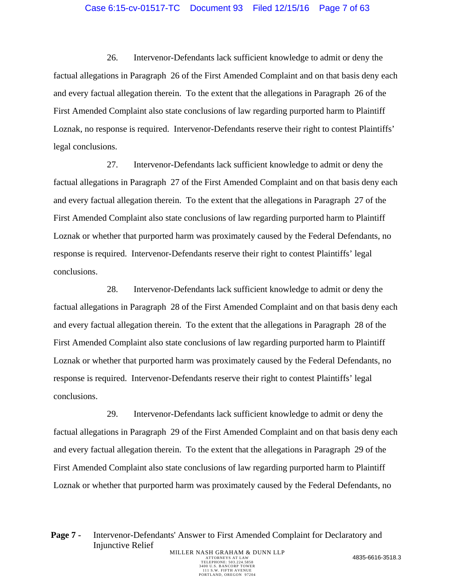## Case 6:15-cv-01517-TC Document 93 Filed 12/15/16 Page 7 of 63

26. Intervenor-Defendants lack sufficient knowledge to admit or deny the factual allegations in Paragraph 26 of the First Amended Complaint and on that basis deny each and every factual allegation therein. To the extent that the allegations in Paragraph 26 of the First Amended Complaint also state conclusions of law regarding purported harm to Plaintiff Loznak, no response is required. Intervenor-Defendants reserve their right to contest Plaintiffs' legal conclusions.

27. Intervenor-Defendants lack sufficient knowledge to admit or deny the factual allegations in Paragraph 27 of the First Amended Complaint and on that basis deny each and every factual allegation therein. To the extent that the allegations in Paragraph 27 of the First Amended Complaint also state conclusions of law regarding purported harm to Plaintiff Loznak or whether that purported harm was proximately caused by the Federal Defendants, no response is required. Intervenor-Defendants reserve their right to contest Plaintiffs' legal conclusions.

28. Intervenor-Defendants lack sufficient knowledge to admit or deny the factual allegations in Paragraph 28 of the First Amended Complaint and on that basis deny each and every factual allegation therein. To the extent that the allegations in Paragraph 28 of the First Amended Complaint also state conclusions of law regarding purported harm to Plaintiff Loznak or whether that purported harm was proximately caused by the Federal Defendants, no response is required. Intervenor-Defendants reserve their right to contest Plaintiffs' legal conclusions.

29. Intervenor-Defendants lack sufficient knowledge to admit or deny the factual allegations in Paragraph 29 of the First Amended Complaint and on that basis deny each and every factual allegation therein. To the extent that the allegations in Paragraph 29 of the First Amended Complaint also state conclusions of law regarding purported harm to Plaintiff Loznak or whether that purported harm was proximately caused by the Federal Defendants, no

Page 7 - Intervenor-Defendants' Answer to First Amended Complaint for Declaratory and Injunctive Relief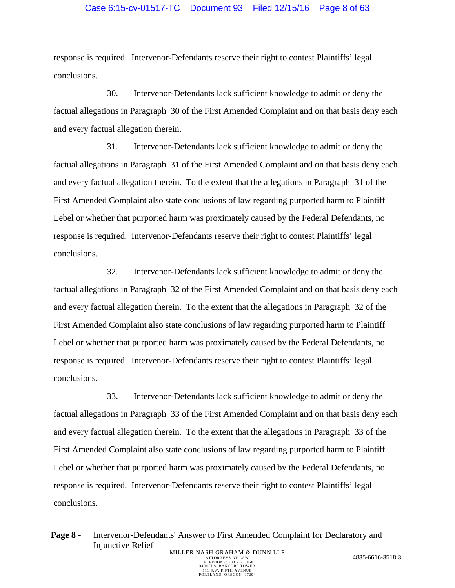## Case 6:15-cv-01517-TC Document 93 Filed 12/15/16 Page 8 of 63

response is required. Intervenor-Defendants reserve their right to contest Plaintiffs' legal conclusions.

30. Intervenor-Defendants lack sufficient knowledge to admit or deny the factual allegations in Paragraph 30 of the First Amended Complaint and on that basis deny each and every factual allegation therein.

31. Intervenor-Defendants lack sufficient knowledge to admit or deny the factual allegations in Paragraph 31 of the First Amended Complaint and on that basis deny each and every factual allegation therein. To the extent that the allegations in Paragraph 31 of the First Amended Complaint also state conclusions of law regarding purported harm to Plaintiff Lebel or whether that purported harm was proximately caused by the Federal Defendants, no response is required. Intervenor-Defendants reserve their right to contest Plaintiffs' legal conclusions.

32. Intervenor-Defendants lack sufficient knowledge to admit or deny the factual allegations in Paragraph 32 of the First Amended Complaint and on that basis deny each and every factual allegation therein. To the extent that the allegations in Paragraph 32 of the First Amended Complaint also state conclusions of law regarding purported harm to Plaintiff Lebel or whether that purported harm was proximately caused by the Federal Defendants, no response is required. Intervenor-Defendants reserve their right to contest Plaintiffs' legal conclusions.

33. Intervenor-Defendants lack sufficient knowledge to admit or deny the factual allegations in Paragraph 33 of the First Amended Complaint and on that basis deny each and every factual allegation therein. To the extent that the allegations in Paragraph 33 of the First Amended Complaint also state conclusions of law regarding purported harm to Plaintiff Lebel or whether that purported harm was proximately caused by the Federal Defendants, no response is required. Intervenor-Defendants reserve their right to contest Plaintiffs' legal conclusions.

Page 8 - Intervenor-Defendants' Answer to First Amended Complaint for Declaratory and Injunctive Relief MILLER NASH GRAHAM & DUNN LLP<br>ATTORNEYS AT LAW ATTORNEYS AT LAW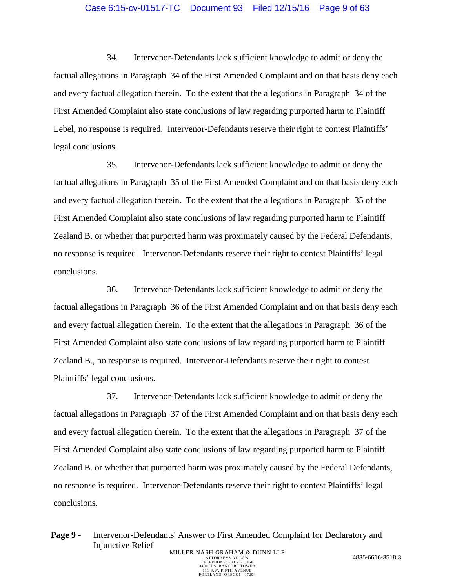## Case 6:15-cv-01517-TC Document 93 Filed 12/15/16 Page 9 of 63

34. Intervenor-Defendants lack sufficient knowledge to admit or deny the factual allegations in Paragraph 34 of the First Amended Complaint and on that basis deny each and every factual allegation therein. To the extent that the allegations in Paragraph 34 of the First Amended Complaint also state conclusions of law regarding purported harm to Plaintiff Lebel, no response is required. Intervenor-Defendants reserve their right to contest Plaintiffs' legal conclusions.

35. Intervenor-Defendants lack sufficient knowledge to admit or deny the factual allegations in Paragraph 35 of the First Amended Complaint and on that basis deny each and every factual allegation therein. To the extent that the allegations in Paragraph 35 of the First Amended Complaint also state conclusions of law regarding purported harm to Plaintiff Zealand B. or whether that purported harm was proximately caused by the Federal Defendants, no response is required. Intervenor-Defendants reserve their right to contest Plaintiffs' legal conclusions.

36. Intervenor-Defendants lack sufficient knowledge to admit or deny the factual allegations in Paragraph 36 of the First Amended Complaint and on that basis deny each and every factual allegation therein. To the extent that the allegations in Paragraph 36 of the First Amended Complaint also state conclusions of law regarding purported harm to Plaintiff Zealand B., no response is required. Intervenor-Defendants reserve their right to contest Plaintiffs' legal conclusions.

37. Intervenor-Defendants lack sufficient knowledge to admit or deny the factual allegations in Paragraph 37 of the First Amended Complaint and on that basis deny each and every factual allegation therein. To the extent that the allegations in Paragraph 37 of the First Amended Complaint also state conclusions of law regarding purported harm to Plaintiff Zealand B. or whether that purported harm was proximately caused by the Federal Defendants, no response is required. Intervenor-Defendants reserve their right to contest Plaintiffs' legal conclusions.

Page 9 - Intervenor-Defendants' Answer to First Amended Complaint for Declaratory and Injunctive Relief MILLER NASH GRAHAM & DUNN LLP<br>ATTORNEYS AT LAW ATTORNEYS AT LAW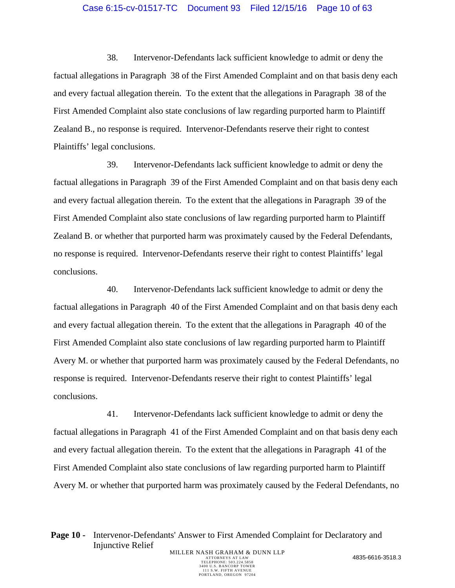#### Case 6:15-cv-01517-TC Document 93 Filed 12/15/16 Page 10 of 63

38. Intervenor-Defendants lack sufficient knowledge to admit or deny the factual allegations in Paragraph 38 of the First Amended Complaint and on that basis deny each and every factual allegation therein. To the extent that the allegations in Paragraph 38 of the First Amended Complaint also state conclusions of law regarding purported harm to Plaintiff Zealand B., no response is required. Intervenor-Defendants reserve their right to contest Plaintiffs' legal conclusions.

39. Intervenor-Defendants lack sufficient knowledge to admit or deny the factual allegations in Paragraph 39 of the First Amended Complaint and on that basis deny each and every factual allegation therein. To the extent that the allegations in Paragraph 39 of the First Amended Complaint also state conclusions of law regarding purported harm to Plaintiff Zealand B. or whether that purported harm was proximately caused by the Federal Defendants, no response is required. Intervenor-Defendants reserve their right to contest Plaintiffs' legal conclusions.

40. Intervenor-Defendants lack sufficient knowledge to admit or deny the factual allegations in Paragraph 40 of the First Amended Complaint and on that basis deny each and every factual allegation therein. To the extent that the allegations in Paragraph 40 of the First Amended Complaint also state conclusions of law regarding purported harm to Plaintiff Avery M. or whether that purported harm was proximately caused by the Federal Defendants, no response is required. Intervenor-Defendants reserve their right to contest Plaintiffs' legal conclusions.

41. Intervenor-Defendants lack sufficient knowledge to admit or deny the factual allegations in Paragraph 41 of the First Amended Complaint and on that basis deny each and every factual allegation therein. To the extent that the allegations in Paragraph 41 of the First Amended Complaint also state conclusions of law regarding purported harm to Plaintiff Avery M. or whether that purported harm was proximately caused by the Federal Defendants, no

Page 10 - Intervenor-Defendants' Answer to First Amended Complaint for Declaratory and Injunctive Relief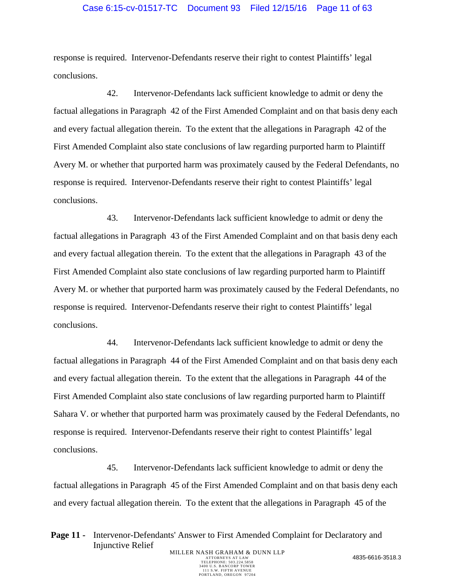#### Case 6:15-cv-01517-TC Document 93 Filed 12/15/16 Page 11 of 63

response is required. Intervenor-Defendants reserve their right to contest Plaintiffs' legal conclusions.

42. Intervenor-Defendants lack sufficient knowledge to admit or deny the factual allegations in Paragraph 42 of the First Amended Complaint and on that basis deny each and every factual allegation therein. To the extent that the allegations in Paragraph 42 of the First Amended Complaint also state conclusions of law regarding purported harm to Plaintiff Avery M. or whether that purported harm was proximately caused by the Federal Defendants, no response is required. Intervenor-Defendants reserve their right to contest Plaintiffs' legal conclusions.

43. Intervenor-Defendants lack sufficient knowledge to admit or deny the factual allegations in Paragraph 43 of the First Amended Complaint and on that basis deny each and every factual allegation therein. To the extent that the allegations in Paragraph 43 of the First Amended Complaint also state conclusions of law regarding purported harm to Plaintiff Avery M. or whether that purported harm was proximately caused by the Federal Defendants, no response is required. Intervenor-Defendants reserve their right to contest Plaintiffs' legal conclusions.

44. Intervenor-Defendants lack sufficient knowledge to admit or deny the factual allegations in Paragraph 44 of the First Amended Complaint and on that basis deny each and every factual allegation therein. To the extent that the allegations in Paragraph 44 of the First Amended Complaint also state conclusions of law regarding purported harm to Plaintiff Sahara V. or whether that purported harm was proximately caused by the Federal Defendants, no response is required. Intervenor-Defendants reserve their right to contest Plaintiffs' legal conclusions.

45. Intervenor-Defendants lack sufficient knowledge to admit or deny the factual allegations in Paragraph 45 of the First Amended Complaint and on that basis deny each and every factual allegation therein. To the extent that the allegations in Paragraph 45 of the

**Page 11 -** Intervenor-Defendants' Answer to First Amended Complaint for Declaratory and Injunctive Relief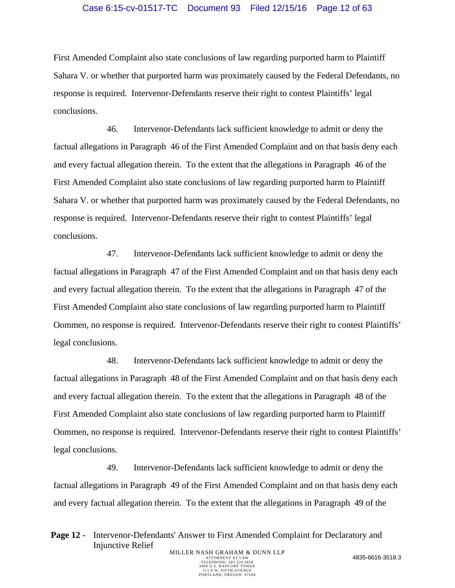## Case 6:15-cv-01517-TC Document 93 Filed 12/15/16 Page 12 of 63

First Amended Complaint also state conclusions of law regarding purported harm to Plaintiff Sahara V. or whether that purported harm was proximately caused by the Federal Defendants, no response is required. Intervenor-Defendants reserve their right to contest Plaintiffs' legal conclusions.

46. Intervenor-Defendants lack sufficient knowledge to admit or deny the factual allegations in Paragraph 46 of the First Amended Complaint and on that basis deny each and every factual allegation therein. To the extent that the allegations in Paragraph 46 of the First Amended Complaint also state conclusions of law regarding purported harm to Plaintiff Sahara V. or whether that purported harm was proximately caused by the Federal Defendants, no response is required. Intervenor-Defendants reserve their right to contest Plaintiffs' legal conclusions.

47. Intervenor-Defendants lack sufficient knowledge to admit or deny the factual allegations in Paragraph 47 of the First Amended Complaint and on that basis deny each and every factual allegation therein. To the extent that the allegations in Paragraph 47 of the First Amended Complaint also state conclusions of law regarding purported harm to Plaintiff Oommen, no response is required. Intervenor-Defendants reserve their right to contest Plaintiffs' legal conclusions.

48. Intervenor-Defendants lack sufficient knowledge to admit or deny the factual allegations in Paragraph 48 of the First Amended Complaint and on that basis deny each and every factual allegation therein. To the extent that the allegations in Paragraph 48 of the First Amended Complaint also state conclusions of law regarding purported harm to Plaintiff Oommen, no response is required. Intervenor-Defendants reserve their right to contest Plaintiffs' legal conclusions.

49. Intervenor-Defendants lack sufficient knowledge to admit or deny the factual allegations in Paragraph 49 of the First Amended Complaint and on that basis deny each and every factual allegation therein. To the extent that the allegations in Paragraph 49 of the

Page 12 - Intervenor-Defendants' Answer to First Amended Complaint for Declaratory and Injunctive Relief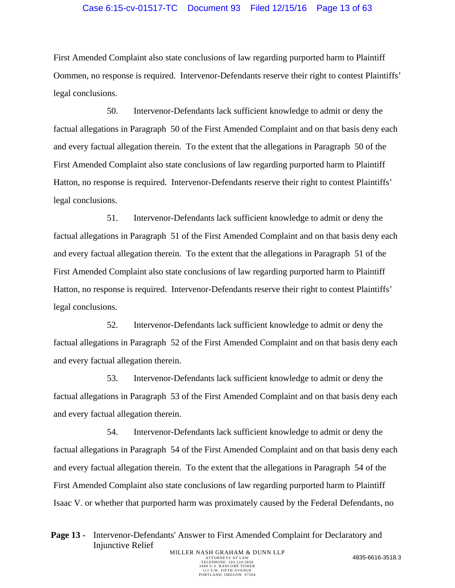## Case 6:15-cv-01517-TC Document 93 Filed 12/15/16 Page 13 of 63

First Amended Complaint also state conclusions of law regarding purported harm to Plaintiff Oommen, no response is required. Intervenor-Defendants reserve their right to contest Plaintiffs' legal conclusions.

50. Intervenor-Defendants lack sufficient knowledge to admit or deny the factual allegations in Paragraph 50 of the First Amended Complaint and on that basis deny each and every factual allegation therein. To the extent that the allegations in Paragraph 50 of the First Amended Complaint also state conclusions of law regarding purported harm to Plaintiff Hatton, no response is required. Intervenor-Defendants reserve their right to contest Plaintiffs' legal conclusions.

51. Intervenor-Defendants lack sufficient knowledge to admit or deny the factual allegations in Paragraph 51 of the First Amended Complaint and on that basis deny each and every factual allegation therein. To the extent that the allegations in Paragraph 51 of the First Amended Complaint also state conclusions of law regarding purported harm to Plaintiff Hatton, no response is required. Intervenor-Defendants reserve their right to contest Plaintiffs' legal conclusions.

52. Intervenor-Defendants lack sufficient knowledge to admit or deny the factual allegations in Paragraph 52 of the First Amended Complaint and on that basis deny each and every factual allegation therein.

53. Intervenor-Defendants lack sufficient knowledge to admit or deny the factual allegations in Paragraph 53 of the First Amended Complaint and on that basis deny each and every factual allegation therein.

54. Intervenor-Defendants lack sufficient knowledge to admit or deny the factual allegations in Paragraph 54 of the First Amended Complaint and on that basis deny each and every factual allegation therein. To the extent that the allegations in Paragraph 54 of the First Amended Complaint also state conclusions of law regarding purported harm to Plaintiff Isaac V. or whether that purported harm was proximately caused by the Federal Defendants, no

**Page 13 -** Intervenor-Defendants' Answer to First Amended Complaint for Declaratory and Injunctive Relief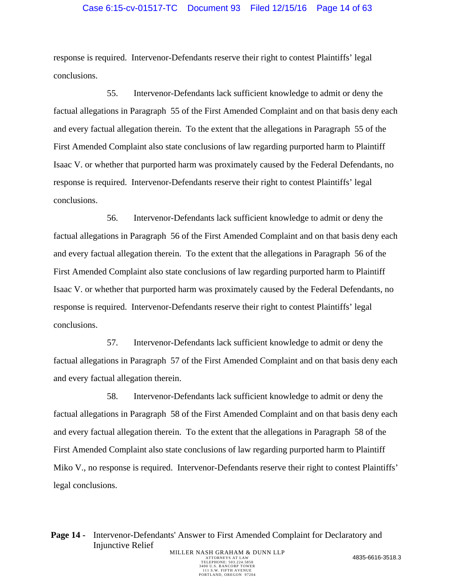#### Case 6:15-cv-01517-TC Document 93 Filed 12/15/16 Page 14 of 63

response is required. Intervenor-Defendants reserve their right to contest Plaintiffs' legal conclusions.

55. Intervenor-Defendants lack sufficient knowledge to admit or deny the factual allegations in Paragraph 55 of the First Amended Complaint and on that basis deny each and every factual allegation therein. To the extent that the allegations in Paragraph 55 of the First Amended Complaint also state conclusions of law regarding purported harm to Plaintiff Isaac V. or whether that purported harm was proximately caused by the Federal Defendants, no response is required. Intervenor-Defendants reserve their right to contest Plaintiffs' legal conclusions.

56. Intervenor-Defendants lack sufficient knowledge to admit or deny the factual allegations in Paragraph 56 of the First Amended Complaint and on that basis deny each and every factual allegation therein. To the extent that the allegations in Paragraph 56 of the First Amended Complaint also state conclusions of law regarding purported harm to Plaintiff Isaac V. or whether that purported harm was proximately caused by the Federal Defendants, no response is required. Intervenor-Defendants reserve their right to contest Plaintiffs' legal conclusions.

57. Intervenor-Defendants lack sufficient knowledge to admit or deny the factual allegations in Paragraph 57 of the First Amended Complaint and on that basis deny each and every factual allegation therein.

58. Intervenor-Defendants lack sufficient knowledge to admit or deny the factual allegations in Paragraph 58 of the First Amended Complaint and on that basis deny each and every factual allegation therein. To the extent that the allegations in Paragraph 58 of the First Amended Complaint also state conclusions of law regarding purported harm to Plaintiff Miko V., no response is required. Intervenor-Defendants reserve their right to contest Plaintiffs' legal conclusions.

**Page 14 -** Intervenor-Defendants' Answer to First Amended Complaint for Declaratory and Injunctive Relief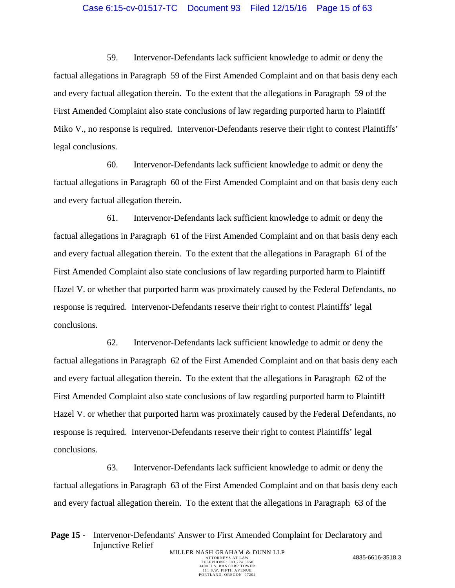#### Case 6:15-cv-01517-TC Document 93 Filed 12/15/16 Page 15 of 63

59. Intervenor-Defendants lack sufficient knowledge to admit or deny the factual allegations in Paragraph 59 of the First Amended Complaint and on that basis deny each and every factual allegation therein. To the extent that the allegations in Paragraph 59 of the First Amended Complaint also state conclusions of law regarding purported harm to Plaintiff Miko V., no response is required. Intervenor-Defendants reserve their right to contest Plaintiffs' legal conclusions.

60. Intervenor-Defendants lack sufficient knowledge to admit or deny the factual allegations in Paragraph 60 of the First Amended Complaint and on that basis deny each and every factual allegation therein.

61. Intervenor-Defendants lack sufficient knowledge to admit or deny the factual allegations in Paragraph 61 of the First Amended Complaint and on that basis deny each and every factual allegation therein. To the extent that the allegations in Paragraph 61 of the First Amended Complaint also state conclusions of law regarding purported harm to Plaintiff Hazel V. or whether that purported harm was proximately caused by the Federal Defendants, no response is required. Intervenor-Defendants reserve their right to contest Plaintiffs' legal conclusions.

62. Intervenor-Defendants lack sufficient knowledge to admit or deny the factual allegations in Paragraph 62 of the First Amended Complaint and on that basis deny each and every factual allegation therein. To the extent that the allegations in Paragraph 62 of the First Amended Complaint also state conclusions of law regarding purported harm to Plaintiff Hazel V. or whether that purported harm was proximately caused by the Federal Defendants, no response is required. Intervenor-Defendants reserve their right to contest Plaintiffs' legal conclusions.

63. Intervenor-Defendants lack sufficient knowledge to admit or deny the factual allegations in Paragraph 63 of the First Amended Complaint and on that basis deny each and every factual allegation therein. To the extent that the allegations in Paragraph 63 of the

**Page 15 -** Intervenor-Defendants' Answer to First Amended Complaint for Declaratory and Injunctive Relief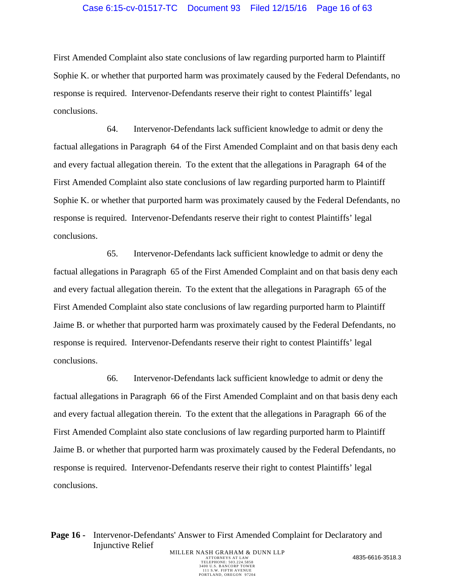## Case 6:15-cv-01517-TC Document 93 Filed 12/15/16 Page 16 of 63

First Amended Complaint also state conclusions of law regarding purported harm to Plaintiff Sophie K. or whether that purported harm was proximately caused by the Federal Defendants, no response is required. Intervenor-Defendants reserve their right to contest Plaintiffs' legal conclusions.

64. Intervenor-Defendants lack sufficient knowledge to admit or deny the factual allegations in Paragraph 64 of the First Amended Complaint and on that basis deny each and every factual allegation therein. To the extent that the allegations in Paragraph 64 of the First Amended Complaint also state conclusions of law regarding purported harm to Plaintiff Sophie K. or whether that purported harm was proximately caused by the Federal Defendants, no response is required. Intervenor-Defendants reserve their right to contest Plaintiffs' legal conclusions.

65. Intervenor-Defendants lack sufficient knowledge to admit or deny the factual allegations in Paragraph 65 of the First Amended Complaint and on that basis deny each and every factual allegation therein. To the extent that the allegations in Paragraph 65 of the First Amended Complaint also state conclusions of law regarding purported harm to Plaintiff Jaime B. or whether that purported harm was proximately caused by the Federal Defendants, no response is required. Intervenor-Defendants reserve their right to contest Plaintiffs' legal conclusions.

66. Intervenor-Defendants lack sufficient knowledge to admit or deny the factual allegations in Paragraph 66 of the First Amended Complaint and on that basis deny each and every factual allegation therein. To the extent that the allegations in Paragraph 66 of the First Amended Complaint also state conclusions of law regarding purported harm to Plaintiff Jaime B. or whether that purported harm was proximately caused by the Federal Defendants, no response is required. Intervenor-Defendants reserve their right to contest Plaintiffs' legal conclusions.

Page 16 - Intervenor-Defendants' Answer to First Amended Complaint for Declaratory and Injunctive Relief MILLER NASH GRAHAM & DUNN LLP<br>ATTORNEYS AT LAW ATTORNEYS AT LAW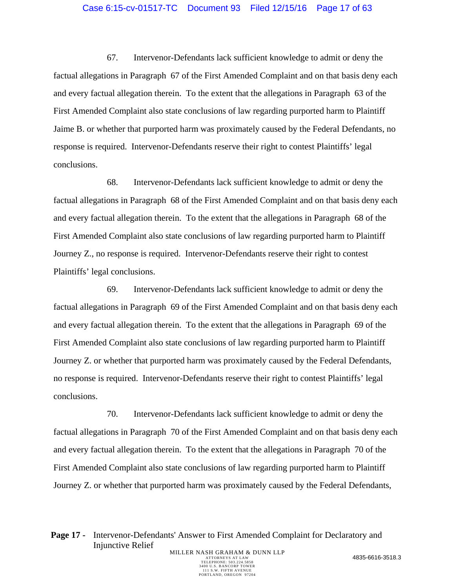#### Case 6:15-cv-01517-TC Document 93 Filed 12/15/16 Page 17 of 63

67. Intervenor-Defendants lack sufficient knowledge to admit or deny the factual allegations in Paragraph 67 of the First Amended Complaint and on that basis deny each and every factual allegation therein. To the extent that the allegations in Paragraph 63 of the First Amended Complaint also state conclusions of law regarding purported harm to Plaintiff Jaime B. or whether that purported harm was proximately caused by the Federal Defendants, no response is required. Intervenor-Defendants reserve their right to contest Plaintiffs' legal conclusions.

68. Intervenor-Defendants lack sufficient knowledge to admit or deny the factual allegations in Paragraph 68 of the First Amended Complaint and on that basis deny each and every factual allegation therein. To the extent that the allegations in Paragraph 68 of the First Amended Complaint also state conclusions of law regarding purported harm to Plaintiff Journey Z., no response is required. Intervenor-Defendants reserve their right to contest Plaintiffs' legal conclusions.

69. Intervenor-Defendants lack sufficient knowledge to admit or deny the factual allegations in Paragraph 69 of the First Amended Complaint and on that basis deny each and every factual allegation therein. To the extent that the allegations in Paragraph 69 of the First Amended Complaint also state conclusions of law regarding purported harm to Plaintiff Journey Z. or whether that purported harm was proximately caused by the Federal Defendants, no response is required. Intervenor-Defendants reserve their right to contest Plaintiffs' legal conclusions.

70. Intervenor-Defendants lack sufficient knowledge to admit or deny the factual allegations in Paragraph 70 of the First Amended Complaint and on that basis deny each and every factual allegation therein. To the extent that the allegations in Paragraph 70 of the First Amended Complaint also state conclusions of law regarding purported harm to Plaintiff Journey Z. or whether that purported harm was proximately caused by the Federal Defendants,

Page 17 - Intervenor-Defendants' Answer to First Amended Complaint for Declaratory and Injunctive Relief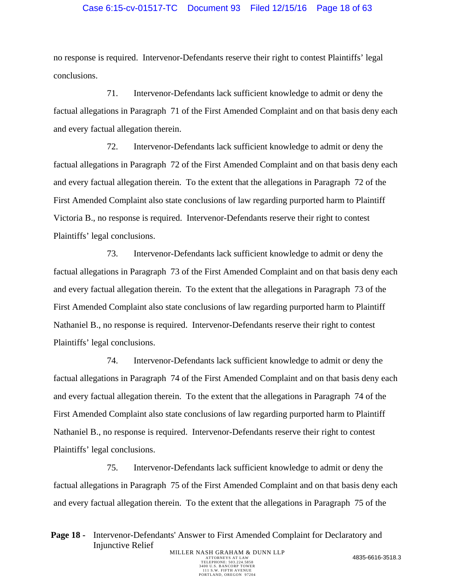### Case 6:15-cv-01517-TC Document 93 Filed 12/15/16 Page 18 of 63

no response is required. Intervenor-Defendants reserve their right to contest Plaintiffs' legal conclusions.

71. Intervenor-Defendants lack sufficient knowledge to admit or deny the factual allegations in Paragraph 71 of the First Amended Complaint and on that basis deny each and every factual allegation therein.

72. Intervenor-Defendants lack sufficient knowledge to admit or deny the factual allegations in Paragraph 72 of the First Amended Complaint and on that basis deny each and every factual allegation therein. To the extent that the allegations in Paragraph 72 of the First Amended Complaint also state conclusions of law regarding purported harm to Plaintiff Victoria B., no response is required. Intervenor-Defendants reserve their right to contest Plaintiffs' legal conclusions.

73. Intervenor-Defendants lack sufficient knowledge to admit or deny the factual allegations in Paragraph 73 of the First Amended Complaint and on that basis deny each and every factual allegation therein. To the extent that the allegations in Paragraph 73 of the First Amended Complaint also state conclusions of law regarding purported harm to Plaintiff Nathaniel B., no response is required. Intervenor-Defendants reserve their right to contest Plaintiffs' legal conclusions.

74. Intervenor-Defendants lack sufficient knowledge to admit or deny the factual allegations in Paragraph 74 of the First Amended Complaint and on that basis deny each and every factual allegation therein. To the extent that the allegations in Paragraph 74 of the First Amended Complaint also state conclusions of law regarding purported harm to Plaintiff Nathaniel B., no response is required. Intervenor-Defendants reserve their right to contest Plaintiffs' legal conclusions.

75. Intervenor-Defendants lack sufficient knowledge to admit or deny the factual allegations in Paragraph 75 of the First Amended Complaint and on that basis deny each and every factual allegation therein. To the extent that the allegations in Paragraph 75 of the

Page 18 - Intervenor-Defendants' Answer to First Amended Complaint for Declaratory and Injunctive Relief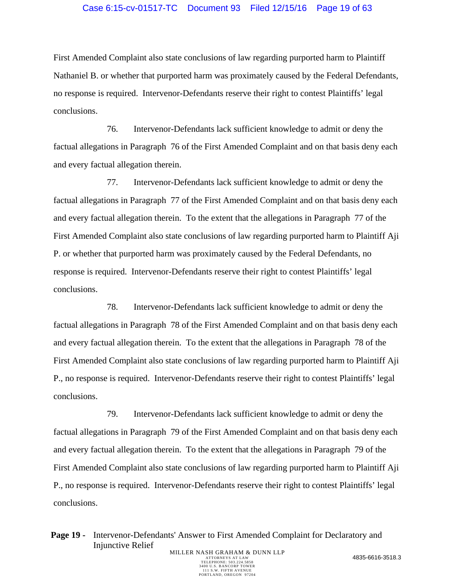#### Case 6:15-cv-01517-TC Document 93 Filed 12/15/16 Page 19 of 63

First Amended Complaint also state conclusions of law regarding purported harm to Plaintiff Nathaniel B. or whether that purported harm was proximately caused by the Federal Defendants, no response is required. Intervenor-Defendants reserve their right to contest Plaintiffs' legal conclusions.

76. Intervenor-Defendants lack sufficient knowledge to admit or deny the factual allegations in Paragraph 76 of the First Amended Complaint and on that basis deny each and every factual allegation therein.

77. Intervenor-Defendants lack sufficient knowledge to admit or deny the factual allegations in Paragraph 77 of the First Amended Complaint and on that basis deny each and every factual allegation therein. To the extent that the allegations in Paragraph 77 of the First Amended Complaint also state conclusions of law regarding purported harm to Plaintiff Aji P. or whether that purported harm was proximately caused by the Federal Defendants, no response is required. Intervenor-Defendants reserve their right to contest Plaintiffs' legal conclusions.

78. Intervenor-Defendants lack sufficient knowledge to admit or deny the factual allegations in Paragraph 78 of the First Amended Complaint and on that basis deny each and every factual allegation therein. To the extent that the allegations in Paragraph 78 of the First Amended Complaint also state conclusions of law regarding purported harm to Plaintiff Aji P., no response is required. Intervenor-Defendants reserve their right to contest Plaintiffs' legal conclusions.

79. Intervenor-Defendants lack sufficient knowledge to admit or deny the factual allegations in Paragraph 79 of the First Amended Complaint and on that basis deny each and every factual allegation therein. To the extent that the allegations in Paragraph 79 of the First Amended Complaint also state conclusions of law regarding purported harm to Plaintiff Aji P., no response is required. Intervenor-Defendants reserve their right to contest Plaintiffs' legal conclusions.

**Page 19 -** Intervenor-Defendants' Answer to First Amended Complaint for Declaratory and Injunctive Relief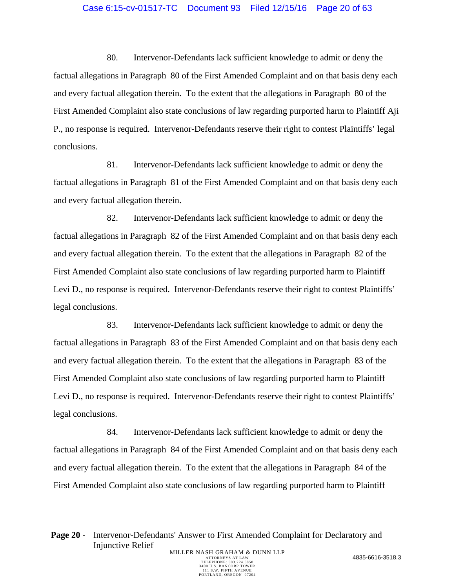#### Case 6:15-cv-01517-TC Document 93 Filed 12/15/16 Page 20 of 63

80. Intervenor-Defendants lack sufficient knowledge to admit or deny the factual allegations in Paragraph 80 of the First Amended Complaint and on that basis deny each and every factual allegation therein. To the extent that the allegations in Paragraph 80 of the First Amended Complaint also state conclusions of law regarding purported harm to Plaintiff Aji P., no response is required. Intervenor-Defendants reserve their right to contest Plaintiffs' legal conclusions.

81. Intervenor-Defendants lack sufficient knowledge to admit or deny the factual allegations in Paragraph 81 of the First Amended Complaint and on that basis deny each and every factual allegation therein.

82. Intervenor-Defendants lack sufficient knowledge to admit or deny the factual allegations in Paragraph 82 of the First Amended Complaint and on that basis deny each and every factual allegation therein. To the extent that the allegations in Paragraph 82 of the First Amended Complaint also state conclusions of law regarding purported harm to Plaintiff Levi D., no response is required. Intervenor-Defendants reserve their right to contest Plaintiffs' legal conclusions.

83. Intervenor-Defendants lack sufficient knowledge to admit or deny the factual allegations in Paragraph 83 of the First Amended Complaint and on that basis deny each and every factual allegation therein. To the extent that the allegations in Paragraph 83 of the First Amended Complaint also state conclusions of law regarding purported harm to Plaintiff Levi D., no response is required. Intervenor-Defendants reserve their right to contest Plaintiffs' legal conclusions.

84. Intervenor-Defendants lack sufficient knowledge to admit or deny the factual allegations in Paragraph 84 of the First Amended Complaint and on that basis deny each and every factual allegation therein. To the extent that the allegations in Paragraph 84 of the First Amended Complaint also state conclusions of law regarding purported harm to Plaintiff

**Page 20 -** Intervenor-Defendants' Answer to First Amended Complaint for Declaratory and Injunctive Relief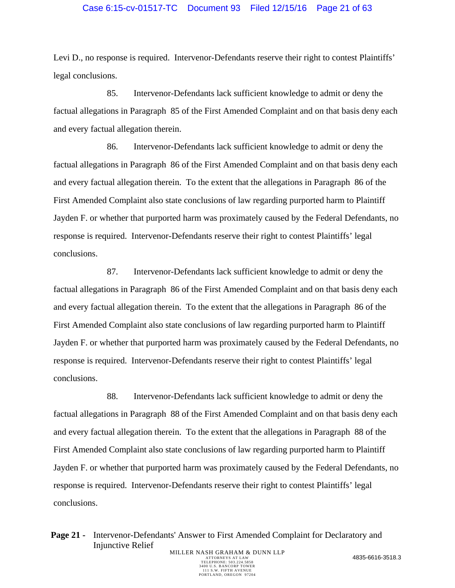#### Case 6:15-cv-01517-TC Document 93 Filed 12/15/16 Page 21 of 63

Levi D., no response is required. Intervenor-Defendants reserve their right to contest Plaintiffs' legal conclusions.

85. Intervenor-Defendants lack sufficient knowledge to admit or deny the factual allegations in Paragraph 85 of the First Amended Complaint and on that basis deny each and every factual allegation therein.

86. Intervenor-Defendants lack sufficient knowledge to admit or deny the factual allegations in Paragraph 86 of the First Amended Complaint and on that basis deny each and every factual allegation therein. To the extent that the allegations in Paragraph 86 of the First Amended Complaint also state conclusions of law regarding purported harm to Plaintiff Jayden F. or whether that purported harm was proximately caused by the Federal Defendants, no response is required. Intervenor-Defendants reserve their right to contest Plaintiffs' legal conclusions.

87. Intervenor-Defendants lack sufficient knowledge to admit or deny the factual allegations in Paragraph 86 of the First Amended Complaint and on that basis deny each and every factual allegation therein. To the extent that the allegations in Paragraph 86 of the First Amended Complaint also state conclusions of law regarding purported harm to Plaintiff Jayden F. or whether that purported harm was proximately caused by the Federal Defendants, no response is required. Intervenor-Defendants reserve their right to contest Plaintiffs' legal conclusions.

88. Intervenor-Defendants lack sufficient knowledge to admit or deny the factual allegations in Paragraph 88 of the First Amended Complaint and on that basis deny each and every factual allegation therein. To the extent that the allegations in Paragraph 88 of the First Amended Complaint also state conclusions of law regarding purported harm to Plaintiff Jayden F. or whether that purported harm was proximately caused by the Federal Defendants, no response is required. Intervenor-Defendants reserve their right to contest Plaintiffs' legal conclusions.

**Page 21 -** Intervenor-Defendants' Answer to First Amended Complaint for Declaratory and Injunctive Relief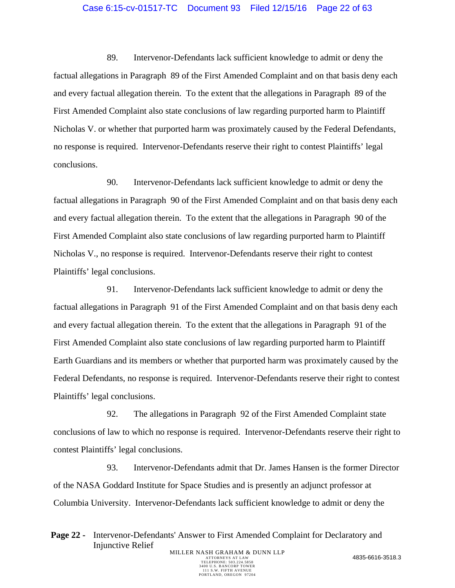## Case 6:15-cv-01517-TC Document 93 Filed 12/15/16 Page 22 of 63

89. Intervenor-Defendants lack sufficient knowledge to admit or deny the factual allegations in Paragraph 89 of the First Amended Complaint and on that basis deny each and every factual allegation therein. To the extent that the allegations in Paragraph 89 of the First Amended Complaint also state conclusions of law regarding purported harm to Plaintiff Nicholas V. or whether that purported harm was proximately caused by the Federal Defendants, no response is required. Intervenor-Defendants reserve their right to contest Plaintiffs' legal conclusions.

90. Intervenor-Defendants lack sufficient knowledge to admit or deny the factual allegations in Paragraph 90 of the First Amended Complaint and on that basis deny each and every factual allegation therein. To the extent that the allegations in Paragraph 90 of the First Amended Complaint also state conclusions of law regarding purported harm to Plaintiff Nicholas V., no response is required. Intervenor-Defendants reserve their right to contest Plaintiffs' legal conclusions.

91. Intervenor-Defendants lack sufficient knowledge to admit or deny the factual allegations in Paragraph 91 of the First Amended Complaint and on that basis deny each and every factual allegation therein. To the extent that the allegations in Paragraph 91 of the First Amended Complaint also state conclusions of law regarding purported harm to Plaintiff Earth Guardians and its members or whether that purported harm was proximately caused by the Federal Defendants, no response is required. Intervenor-Defendants reserve their right to contest Plaintiffs' legal conclusions.

92. The allegations in Paragraph 92 of the First Amended Complaint state conclusions of law to which no response is required. Intervenor-Defendants reserve their right to contest Plaintiffs' legal conclusions.

93. Intervenor-Defendants admit that Dr. James Hansen is the former Director of the NASA Goddard Institute for Space Studies and is presently an adjunct professor at Columbia University. Intervenor-Defendants lack sufficient knowledge to admit or deny the

**Page 22 -** Intervenor-Defendants' Answer to First Amended Complaint for Declaratory and Injunctive Relief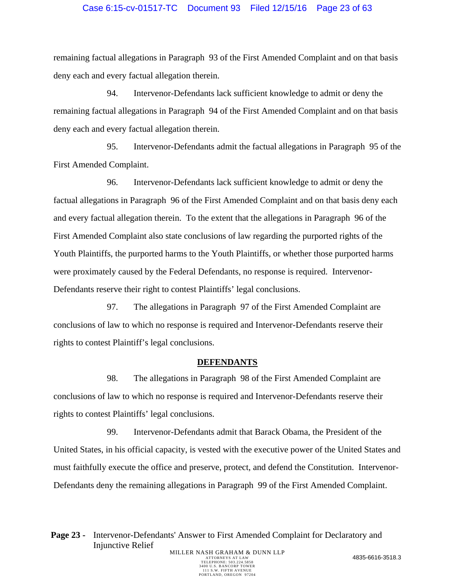### Case 6:15-cv-01517-TC Document 93 Filed 12/15/16 Page 23 of 63

remaining factual allegations in Paragraph 93 of the First Amended Complaint and on that basis deny each and every factual allegation therein.

94. Intervenor-Defendants lack sufficient knowledge to admit or deny the remaining factual allegations in Paragraph 94 of the First Amended Complaint and on that basis deny each and every factual allegation therein.

95. Intervenor-Defendants admit the factual allegations in Paragraph 95 of the First Amended Complaint.

96. Intervenor-Defendants lack sufficient knowledge to admit or deny the factual allegations in Paragraph 96 of the First Amended Complaint and on that basis deny each and every factual allegation therein. To the extent that the allegations in Paragraph 96 of the First Amended Complaint also state conclusions of law regarding the purported rights of the Youth Plaintiffs, the purported harms to the Youth Plaintiffs, or whether those purported harms were proximately caused by the Federal Defendants, no response is required. Intervenor-Defendants reserve their right to contest Plaintiffs' legal conclusions.

97. The allegations in Paragraph 97 of the First Amended Complaint are conclusions of law to which no response is required and Intervenor-Defendants reserve their rights to contest Plaintiff's legal conclusions.

#### **DEFENDANTS**

98. The allegations in Paragraph 98 of the First Amended Complaint are conclusions of law to which no response is required and Intervenor-Defendants reserve their rights to contest Plaintiffs' legal conclusions.

99. Intervenor-Defendants admit that Barack Obama, the President of the United States, in his official capacity, is vested with the executive power of the United States and must faithfully execute the office and preserve, protect, and defend the Constitution. Intervenor-Defendants deny the remaining allegations in Paragraph 99 of the First Amended Complaint.

Page 23 - Intervenor-Defendants' Answer to First Amended Complaint for Declaratory and Injunctive Relief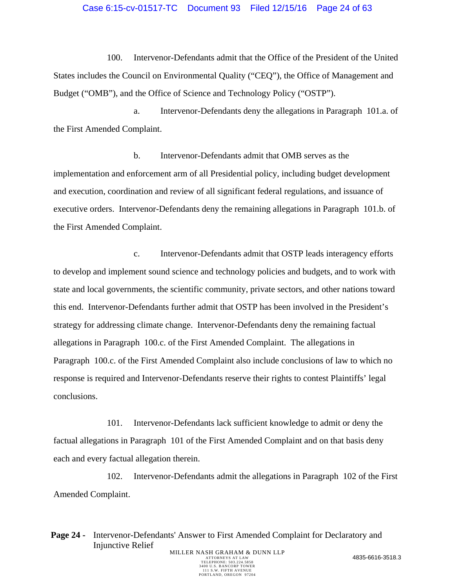#### Case 6:15-cv-01517-TC Document 93 Filed 12/15/16 Page 24 of 63

100. Intervenor-Defendants admit that the Office of the President of the United States includes the Council on Environmental Quality ("CEQ"), the Office of Management and Budget ("OMB"), and the Office of Science and Technology Policy ("OSTP").

a. Intervenor-Defendants deny the allegations in Paragraph 101.a. of the First Amended Complaint.

b. Intervenor-Defendants admit that OMB serves as the implementation and enforcement arm of all Presidential policy, including budget development and execution, coordination and review of all significant federal regulations, and issuance of executive orders. Intervenor-Defendants deny the remaining allegations in Paragraph 101.b. of the First Amended Complaint.

c. Intervenor-Defendants admit that OSTP leads interagency efforts to develop and implement sound science and technology policies and budgets, and to work with state and local governments, the scientific community, private sectors, and other nations toward this end. Intervenor-Defendants further admit that OSTP has been involved in the President's strategy for addressing climate change. Intervenor-Defendants deny the remaining factual allegations in Paragraph 100.c. of the First Amended Complaint. The allegations in Paragraph 100.c. of the First Amended Complaint also include conclusions of law to which no response is required and Intervenor-Defendants reserve their rights to contest Plaintiffs' legal conclusions.

101. Intervenor-Defendants lack sufficient knowledge to admit or deny the factual allegations in Paragraph 101 of the First Amended Complaint and on that basis deny each and every factual allegation therein.

102. Intervenor-Defendants admit the allegations in Paragraph 102 of the First Amended Complaint.

TELEPHONE: 503.224.5858 3400 U.S. BANCORP TOWER 111 S.W. FIFTH AVENUE PORTLAND, OREGON 97204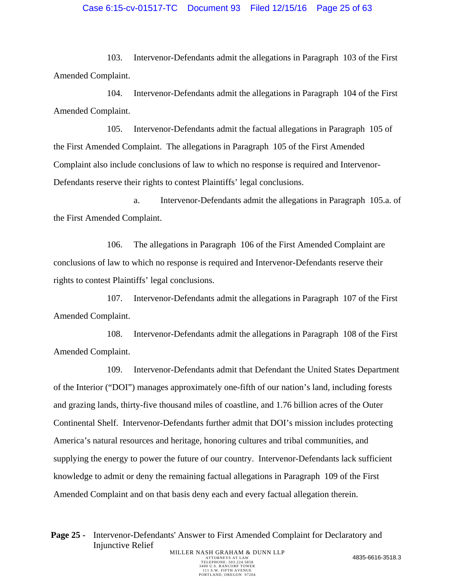## Case 6:15-cv-01517-TC Document 93 Filed 12/15/16 Page 25 of 63

103. Intervenor-Defendants admit the allegations in Paragraph 103 of the First Amended Complaint.

104. Intervenor-Defendants admit the allegations in Paragraph 104 of the First Amended Complaint.

105. Intervenor-Defendants admit the factual allegations in Paragraph 105 of the First Amended Complaint. The allegations in Paragraph 105 of the First Amended Complaint also include conclusions of law to which no response is required and Intervenor-Defendants reserve their rights to contest Plaintiffs' legal conclusions.

a. Intervenor-Defendants admit the allegations in Paragraph 105.a. of the First Amended Complaint.

106. The allegations in Paragraph 106 of the First Amended Complaint are conclusions of law to which no response is required and Intervenor-Defendants reserve their rights to contest Plaintiffs' legal conclusions.

107. Intervenor-Defendants admit the allegations in Paragraph 107 of the First Amended Complaint.

108. Intervenor-Defendants admit the allegations in Paragraph 108 of the First Amended Complaint.

109. Intervenor-Defendants admit that Defendant the United States Department of the Interior ("DOI") manages approximately one-fifth of our nation's land, including forests and grazing lands, thirty-five thousand miles of coastline, and 1.76 billion acres of the Outer Continental Shelf. Intervenor-Defendants further admit that DOI's mission includes protecting America's natural resources and heritage, honoring cultures and tribal communities, and supplying the energy to power the future of our country. Intervenor-Defendants lack sufficient knowledge to admit or deny the remaining factual allegations in Paragraph 109 of the First Amended Complaint and on that basis deny each and every factual allegation therein.

Page 25 - Intervenor-Defendants' Answer to First Amended Complaint for Declaratory and Injunctive Relief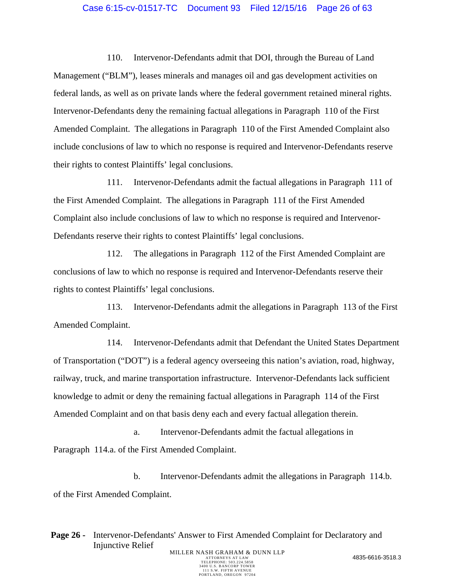#### Case 6:15-cv-01517-TC Document 93 Filed 12/15/16 Page 26 of 63

110. Intervenor-Defendants admit that DOI, through the Bureau of Land Management ("BLM"), leases minerals and manages oil and gas development activities on federal lands, as well as on private lands where the federal government retained mineral rights. Intervenor-Defendants deny the remaining factual allegations in Paragraph 110 of the First Amended Complaint. The allegations in Paragraph 110 of the First Amended Complaint also include conclusions of law to which no response is required and Intervenor-Defendants reserve their rights to contest Plaintiffs' legal conclusions.

111. Intervenor-Defendants admit the factual allegations in Paragraph 111 of the First Amended Complaint. The allegations in Paragraph 111 of the First Amended Complaint also include conclusions of law to which no response is required and Intervenor-Defendants reserve their rights to contest Plaintiffs' legal conclusions.

112. The allegations in Paragraph 112 of the First Amended Complaint are conclusions of law to which no response is required and Intervenor-Defendants reserve their rights to contest Plaintiffs' legal conclusions.

113. Intervenor-Defendants admit the allegations in Paragraph 113 of the First Amended Complaint.

114. Intervenor-Defendants admit that Defendant the United States Department of Transportation ("DOT") is a federal agency overseeing this nation's aviation, road, highway, railway, truck, and marine transportation infrastructure. Intervenor-Defendants lack sufficient knowledge to admit or deny the remaining factual allegations in Paragraph 114 of the First Amended Complaint and on that basis deny each and every factual allegation therein.

a. Intervenor-Defendants admit the factual allegations in Paragraph 114.a. of the First Amended Complaint.

b. Intervenor-Defendants admit the allegations in Paragraph 114.b. of the First Amended Complaint.

Page 26 - Intervenor-Defendants' Answer to First Amended Complaint for Declaratory and Injunctive Relief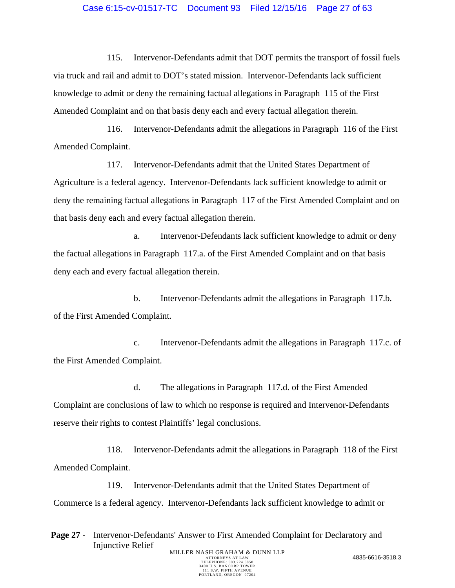#### Case 6:15-cv-01517-TC Document 93 Filed 12/15/16 Page 27 of 63

115. Intervenor-Defendants admit that DOT permits the transport of fossil fuels via truck and rail and admit to DOT's stated mission. Intervenor-Defendants lack sufficient knowledge to admit or deny the remaining factual allegations in Paragraph 115 of the First Amended Complaint and on that basis deny each and every factual allegation therein.

116. Intervenor-Defendants admit the allegations in Paragraph 116 of the First Amended Complaint.

117. Intervenor-Defendants admit that the United States Department of Agriculture is a federal agency. Intervenor-Defendants lack sufficient knowledge to admit or deny the remaining factual allegations in Paragraph 117 of the First Amended Complaint and on that basis deny each and every factual allegation therein.

a. Intervenor-Defendants lack sufficient knowledge to admit or deny the factual allegations in Paragraph 117.a. of the First Amended Complaint and on that basis deny each and every factual allegation therein.

b. Intervenor-Defendants admit the allegations in Paragraph 117.b. of the First Amended Complaint.

c. Intervenor-Defendants admit the allegations in Paragraph 117.c. of the First Amended Complaint.

d. The allegations in Paragraph 117.d. of the First Amended Complaint are conclusions of law to which no response is required and Intervenor-Defendants reserve their rights to contest Plaintiffs' legal conclusions.

118. Intervenor-Defendants admit the allegations in Paragraph 118 of the First Amended Complaint.

119. Intervenor-Defendants admit that the United States Department of Commerce is a federal agency. Intervenor-Defendants lack sufficient knowledge to admit or

**Page 27 -** Intervenor-Defendants' Answer to First Amended Complaint for Declaratory and Injunctive Relief MILLER NASH GRAHAM & DUNN LLP<br>ATTORNEYS AT LAW ATTORNEYS AT LAW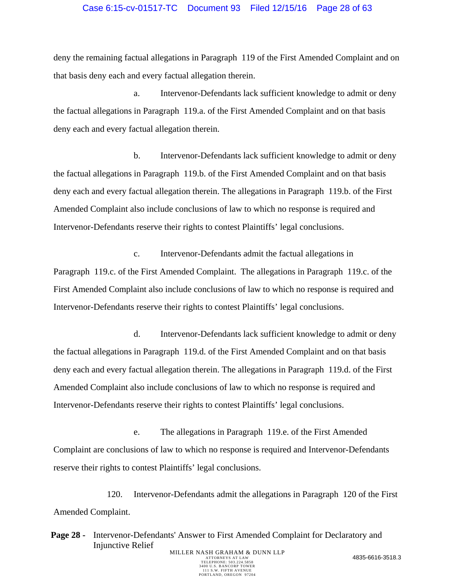#### Case 6:15-cv-01517-TC Document 93 Filed 12/15/16 Page 28 of 63

deny the remaining factual allegations in Paragraph 119 of the First Amended Complaint and on that basis deny each and every factual allegation therein.

a. Intervenor-Defendants lack sufficient knowledge to admit or deny the factual allegations in Paragraph 119.a. of the First Amended Complaint and on that basis deny each and every factual allegation therein.

b. Intervenor-Defendants lack sufficient knowledge to admit or deny the factual allegations in Paragraph 119.b. of the First Amended Complaint and on that basis deny each and every factual allegation therein. The allegations in Paragraph 119.b. of the First Amended Complaint also include conclusions of law to which no response is required and Intervenor-Defendants reserve their rights to contest Plaintiffs' legal conclusions.

c. Intervenor-Defendants admit the factual allegations in Paragraph 119.c. of the First Amended Complaint. The allegations in Paragraph 119.c. of the First Amended Complaint also include conclusions of law to which no response is required and Intervenor-Defendants reserve their rights to contest Plaintiffs' legal conclusions.

d. Intervenor-Defendants lack sufficient knowledge to admit or deny the factual allegations in Paragraph 119.d. of the First Amended Complaint and on that basis deny each and every factual allegation therein. The allegations in Paragraph 119.d. of the First Amended Complaint also include conclusions of law to which no response is required and Intervenor-Defendants reserve their rights to contest Plaintiffs' legal conclusions.

e. The allegations in Paragraph 119.e. of the First Amended Complaint are conclusions of law to which no response is required and Intervenor-Defendants reserve their rights to contest Plaintiffs' legal conclusions.

120. Intervenor-Defendants admit the allegations in Paragraph 120 of the First Amended Complaint.

Page 28 - Intervenor-Defendants' Answer to First Amended Complaint for Declaratory and Injunctive Relief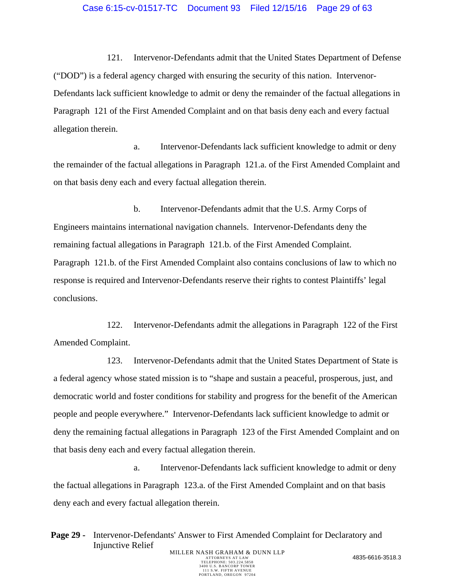#### Case 6:15-cv-01517-TC Document 93 Filed 12/15/16 Page 29 of 63

121. Intervenor-Defendants admit that the United States Department of Defense ("DOD") is a federal agency charged with ensuring the security of this nation. Intervenor-Defendants lack sufficient knowledge to admit or deny the remainder of the factual allegations in Paragraph 121 of the First Amended Complaint and on that basis deny each and every factual allegation therein.

a. Intervenor-Defendants lack sufficient knowledge to admit or deny the remainder of the factual allegations in Paragraph 121.a. of the First Amended Complaint and on that basis deny each and every factual allegation therein.

b. Intervenor-Defendants admit that the U.S. Army Corps of Engineers maintains international navigation channels. Intervenor-Defendants deny the remaining factual allegations in Paragraph 121.b. of the First Amended Complaint. Paragraph 121.b. of the First Amended Complaint also contains conclusions of law to which no response is required and Intervenor-Defendants reserve their rights to contest Plaintiffs' legal conclusions.

122. Intervenor-Defendants admit the allegations in Paragraph 122 of the First Amended Complaint.

123. Intervenor-Defendants admit that the United States Department of State is a federal agency whose stated mission is to "shape and sustain a peaceful, prosperous, just, and democratic world and foster conditions for stability and progress for the benefit of the American people and people everywhere." Intervenor-Defendants lack sufficient knowledge to admit or deny the remaining factual allegations in Paragraph 123 of the First Amended Complaint and on that basis deny each and every factual allegation therein.

a. Intervenor-Defendants lack sufficient knowledge to admit or deny the factual allegations in Paragraph 123.a. of the First Amended Complaint and on that basis deny each and every factual allegation therein.

**Page 29 -** Intervenor-Defendants' Answer to First Amended Complaint for Declaratory and Injunctive Relief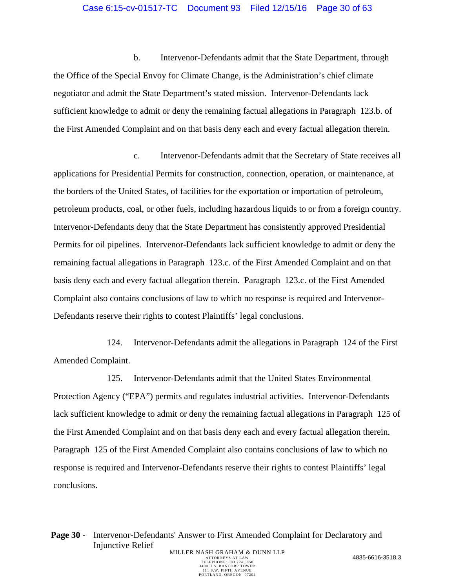#### Case 6:15-cv-01517-TC Document 93 Filed 12/15/16 Page 30 of 63

b. Intervenor-Defendants admit that the State Department, through the Office of the Special Envoy for Climate Change, is the Administration's chief climate negotiator and admit the State Department's stated mission. Intervenor-Defendants lack sufficient knowledge to admit or deny the remaining factual allegations in Paragraph 123.b. of the First Amended Complaint and on that basis deny each and every factual allegation therein.

c. Intervenor-Defendants admit that the Secretary of State receives all applications for Presidential Permits for construction, connection, operation, or maintenance, at the borders of the United States, of facilities for the exportation or importation of petroleum, petroleum products, coal, or other fuels, including hazardous liquids to or from a foreign country. Intervenor-Defendants deny that the State Department has consistently approved Presidential Permits for oil pipelines. Intervenor-Defendants lack sufficient knowledge to admit or deny the remaining factual allegations in Paragraph 123.c. of the First Amended Complaint and on that basis deny each and every factual allegation therein. Paragraph 123.c. of the First Amended Complaint also contains conclusions of law to which no response is required and Intervenor-Defendants reserve their rights to contest Plaintiffs' legal conclusions.

124. Intervenor-Defendants admit the allegations in Paragraph 124 of the First Amended Complaint.

125. Intervenor-Defendants admit that the United States Environmental Protection Agency ("EPA") permits and regulates industrial activities. Intervenor-Defendants lack sufficient knowledge to admit or deny the remaining factual allegations in Paragraph 125 of the First Amended Complaint and on that basis deny each and every factual allegation therein. Paragraph 125 of the First Amended Complaint also contains conclusions of law to which no response is required and Intervenor-Defendants reserve their rights to contest Plaintiffs' legal conclusions.

Page 30 - Intervenor-Defendants' Answer to First Amended Complaint for Declaratory and Injunctive Relief MILLER NASH GRAHAM & DUNN LLP<br>ATTORNEYS AT LAW ATTORNEYS AT LAW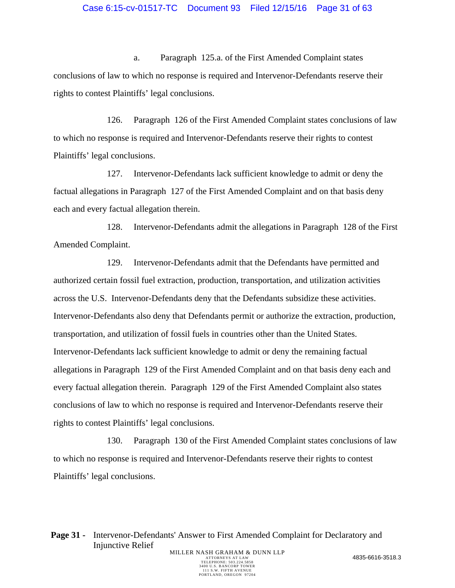a. Paragraph 125.a. of the First Amended Complaint states conclusions of law to which no response is required and Intervenor-Defendants reserve their rights to contest Plaintiffs' legal conclusions.

126. Paragraph 126 of the First Amended Complaint states conclusions of law to which no response is required and Intervenor-Defendants reserve their rights to contest Plaintiffs' legal conclusions.

127. Intervenor-Defendants lack sufficient knowledge to admit or deny the factual allegations in Paragraph 127 of the First Amended Complaint and on that basis deny each and every factual allegation therein.

128. Intervenor-Defendants admit the allegations in Paragraph 128 of the First Amended Complaint.

129. Intervenor-Defendants admit that the Defendants have permitted and authorized certain fossil fuel extraction, production, transportation, and utilization activities across the U.S. Intervenor-Defendants deny that the Defendants subsidize these activities. Intervenor-Defendants also deny that Defendants permit or authorize the extraction, production, transportation, and utilization of fossil fuels in countries other than the United States. Intervenor-Defendants lack sufficient knowledge to admit or deny the remaining factual allegations in Paragraph 129 of the First Amended Complaint and on that basis deny each and every factual allegation therein. Paragraph 129 of the First Amended Complaint also states conclusions of law to which no response is required and Intervenor-Defendants reserve their rights to contest Plaintiffs' legal conclusions.

130. Paragraph 130 of the First Amended Complaint states conclusions of law to which no response is required and Intervenor-Defendants reserve their rights to contest Plaintiffs' legal conclusions.

**Page 31 -** Intervenor-Defendants' Answer to First Amended Complaint for Declaratory and Injunctive Relief MILLER NASH GRAHAM & DUNN LLP<br>ATTORNEYS AT LAW ATTORNEYS AT LAW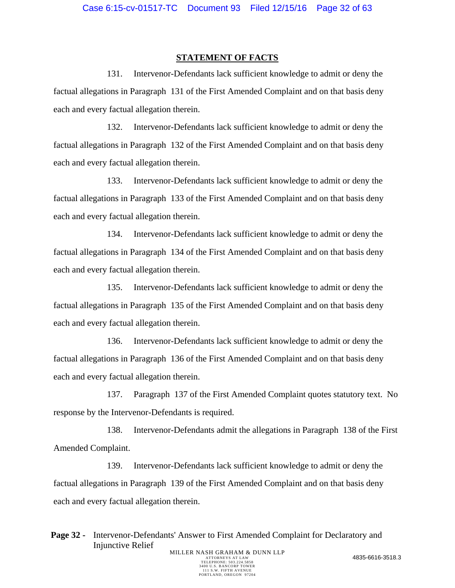#### **STATEMENT OF FACTS**

131. Intervenor-Defendants lack sufficient knowledge to admit or deny the factual allegations in Paragraph 131 of the First Amended Complaint and on that basis deny each and every factual allegation therein.

132. Intervenor-Defendants lack sufficient knowledge to admit or deny the factual allegations in Paragraph 132 of the First Amended Complaint and on that basis deny each and every factual allegation therein.

133. Intervenor-Defendants lack sufficient knowledge to admit or deny the factual allegations in Paragraph 133 of the First Amended Complaint and on that basis deny each and every factual allegation therein.

134. Intervenor-Defendants lack sufficient knowledge to admit or deny the factual allegations in Paragraph 134 of the First Amended Complaint and on that basis deny each and every factual allegation therein.

135. Intervenor-Defendants lack sufficient knowledge to admit or deny the factual allegations in Paragraph 135 of the First Amended Complaint and on that basis deny each and every factual allegation therein.

136. Intervenor-Defendants lack sufficient knowledge to admit or deny the factual allegations in Paragraph 136 of the First Amended Complaint and on that basis deny each and every factual allegation therein.

137. Paragraph 137 of the First Amended Complaint quotes statutory text. No response by the Intervenor-Defendants is required.

138. Intervenor-Defendants admit the allegations in Paragraph 138 of the First Amended Complaint.

139. Intervenor-Defendants lack sufficient knowledge to admit or deny the factual allegations in Paragraph 139 of the First Amended Complaint and on that basis deny each and every factual allegation therein.

Page 32 - Intervenor-Defendants' Answer to First Amended Complaint for Declaratory and Injunctive Relief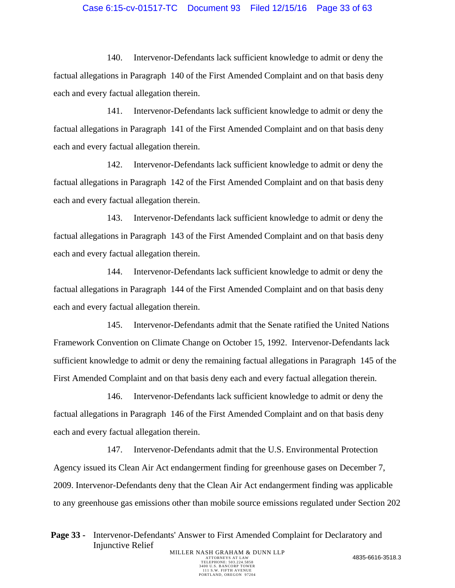### Case 6:15-cv-01517-TC Document 93 Filed 12/15/16 Page 33 of 63

140. Intervenor-Defendants lack sufficient knowledge to admit or deny the factual allegations in Paragraph 140 of the First Amended Complaint and on that basis deny each and every factual allegation therein.

141. Intervenor-Defendants lack sufficient knowledge to admit or deny the factual allegations in Paragraph 141 of the First Amended Complaint and on that basis deny each and every factual allegation therein.

142. Intervenor-Defendants lack sufficient knowledge to admit or deny the factual allegations in Paragraph 142 of the First Amended Complaint and on that basis deny each and every factual allegation therein.

143. Intervenor-Defendants lack sufficient knowledge to admit or deny the factual allegations in Paragraph 143 of the First Amended Complaint and on that basis deny each and every factual allegation therein.

144. Intervenor-Defendants lack sufficient knowledge to admit or deny the factual allegations in Paragraph 144 of the First Amended Complaint and on that basis deny each and every factual allegation therein.

145. Intervenor-Defendants admit that the Senate ratified the United Nations Framework Convention on Climate Change on October 15, 1992. Intervenor-Defendants lack sufficient knowledge to admit or deny the remaining factual allegations in Paragraph 145 of the First Amended Complaint and on that basis deny each and every factual allegation therein.

146. Intervenor-Defendants lack sufficient knowledge to admit or deny the factual allegations in Paragraph 146 of the First Amended Complaint and on that basis deny each and every factual allegation therein.

147. Intervenor-Defendants admit that the U.S. Environmental Protection Agency issued its Clean Air Act endangerment finding for greenhouse gases on December 7, 2009. Intervenor-Defendants deny that the Clean Air Act endangerment finding was applicable to any greenhouse gas emissions other than mobile source emissions regulated under Section 202

**Page 33 -** Intervenor-Defendants' Answer to First Amended Complaint for Declaratory and Injunctive Relief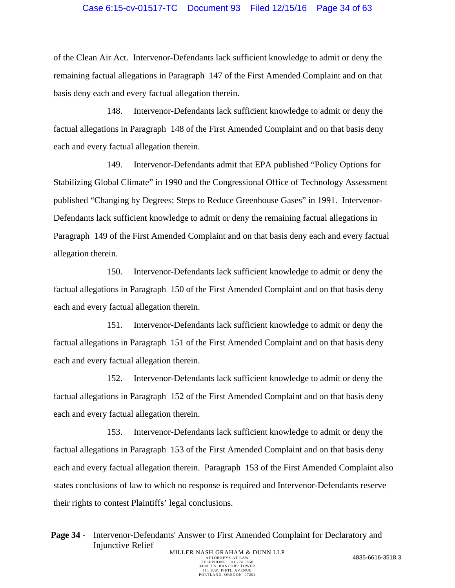## Case 6:15-cv-01517-TC Document 93 Filed 12/15/16 Page 34 of 63

of the Clean Air Act. Intervenor-Defendants lack sufficient knowledge to admit or deny the remaining factual allegations in Paragraph 147 of the First Amended Complaint and on that basis deny each and every factual allegation therein.

148. Intervenor-Defendants lack sufficient knowledge to admit or deny the factual allegations in Paragraph 148 of the First Amended Complaint and on that basis deny each and every factual allegation therein.

149. Intervenor-Defendants admit that EPA published "Policy Options for Stabilizing Global Climate" in 1990 and the Congressional Office of Technology Assessment published "Changing by Degrees: Steps to Reduce Greenhouse Gases" in 1991. Intervenor-Defendants lack sufficient knowledge to admit or deny the remaining factual allegations in Paragraph 149 of the First Amended Complaint and on that basis deny each and every factual allegation therein.

150. Intervenor-Defendants lack sufficient knowledge to admit or deny the factual allegations in Paragraph 150 of the First Amended Complaint and on that basis deny each and every factual allegation therein.

151. Intervenor-Defendants lack sufficient knowledge to admit or deny the factual allegations in Paragraph 151 of the First Amended Complaint and on that basis deny each and every factual allegation therein.

152. Intervenor-Defendants lack sufficient knowledge to admit or deny the factual allegations in Paragraph 152 of the First Amended Complaint and on that basis deny each and every factual allegation therein.

153. Intervenor-Defendants lack sufficient knowledge to admit or deny the factual allegations in Paragraph 153 of the First Amended Complaint and on that basis deny each and every factual allegation therein. Paragraph 153 of the First Amended Complaint also states conclusions of law to which no response is required and Intervenor-Defendants reserve their rights to contest Plaintiffs' legal conclusions.

**Page 34 -** Intervenor-Defendants' Answer to First Amended Complaint for Declaratory and Injunctive Relief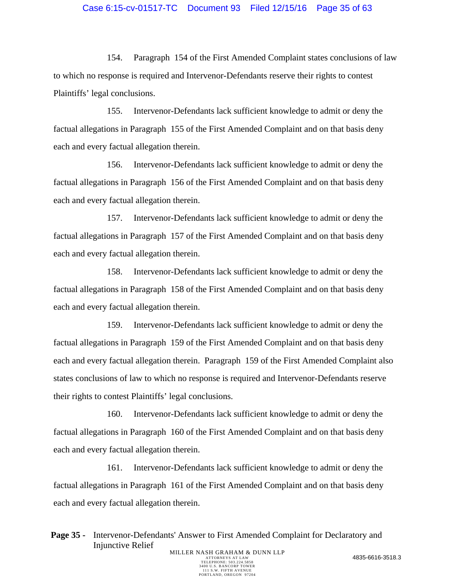## Case 6:15-cv-01517-TC Document 93 Filed 12/15/16 Page 35 of 63

154. Paragraph 154 of the First Amended Complaint states conclusions of law to which no response is required and Intervenor-Defendants reserve their rights to contest Plaintiffs' legal conclusions.

155. Intervenor-Defendants lack sufficient knowledge to admit or deny the factual allegations in Paragraph 155 of the First Amended Complaint and on that basis deny each and every factual allegation therein.

156. Intervenor-Defendants lack sufficient knowledge to admit or deny the factual allegations in Paragraph 156 of the First Amended Complaint and on that basis deny each and every factual allegation therein.

157. Intervenor-Defendants lack sufficient knowledge to admit or deny the factual allegations in Paragraph 157 of the First Amended Complaint and on that basis deny each and every factual allegation therein.

158. Intervenor-Defendants lack sufficient knowledge to admit or deny the factual allegations in Paragraph 158 of the First Amended Complaint and on that basis deny each and every factual allegation therein.

159. Intervenor-Defendants lack sufficient knowledge to admit or deny the factual allegations in Paragraph 159 of the First Amended Complaint and on that basis deny each and every factual allegation therein. Paragraph 159 of the First Amended Complaint also states conclusions of law to which no response is required and Intervenor-Defendants reserve their rights to contest Plaintiffs' legal conclusions.

160. Intervenor-Defendants lack sufficient knowledge to admit or deny the factual allegations in Paragraph 160 of the First Amended Complaint and on that basis deny each and every factual allegation therein.

161. Intervenor-Defendants lack sufficient knowledge to admit or deny the factual allegations in Paragraph 161 of the First Amended Complaint and on that basis deny each and every factual allegation therein.

**Page 35 -** Intervenor-Defendants' Answer to First Amended Complaint for Declaratory and Injunctive Relief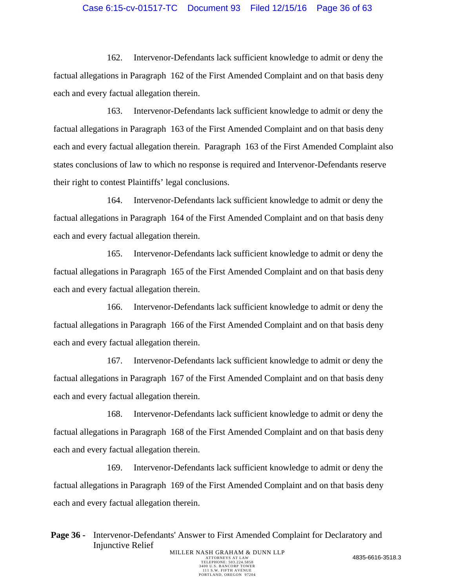## Case 6:15-cv-01517-TC Document 93 Filed 12/15/16 Page 36 of 63

162. Intervenor-Defendants lack sufficient knowledge to admit or deny the factual allegations in Paragraph 162 of the First Amended Complaint and on that basis deny each and every factual allegation therein.

163. Intervenor-Defendants lack sufficient knowledge to admit or deny the factual allegations in Paragraph 163 of the First Amended Complaint and on that basis deny each and every factual allegation therein. Paragraph 163 of the First Amended Complaint also states conclusions of law to which no response is required and Intervenor-Defendants reserve their right to contest Plaintiffs' legal conclusions.

164. Intervenor-Defendants lack sufficient knowledge to admit or deny the factual allegations in Paragraph 164 of the First Amended Complaint and on that basis deny each and every factual allegation therein.

165. Intervenor-Defendants lack sufficient knowledge to admit or deny the factual allegations in Paragraph 165 of the First Amended Complaint and on that basis deny each and every factual allegation therein.

166. Intervenor-Defendants lack sufficient knowledge to admit or deny the factual allegations in Paragraph 166 of the First Amended Complaint and on that basis deny each and every factual allegation therein.

167. Intervenor-Defendants lack sufficient knowledge to admit or deny the factual allegations in Paragraph 167 of the First Amended Complaint and on that basis deny each and every factual allegation therein.

168. Intervenor-Defendants lack sufficient knowledge to admit or deny the factual allegations in Paragraph 168 of the First Amended Complaint and on that basis deny each and every factual allegation therein.

169. Intervenor-Defendants lack sufficient knowledge to admit or deny the factual allegations in Paragraph 169 of the First Amended Complaint and on that basis deny each and every factual allegation therein.

Page 36 - Intervenor-Defendants' Answer to First Amended Complaint for Declaratory and Injunctive Relief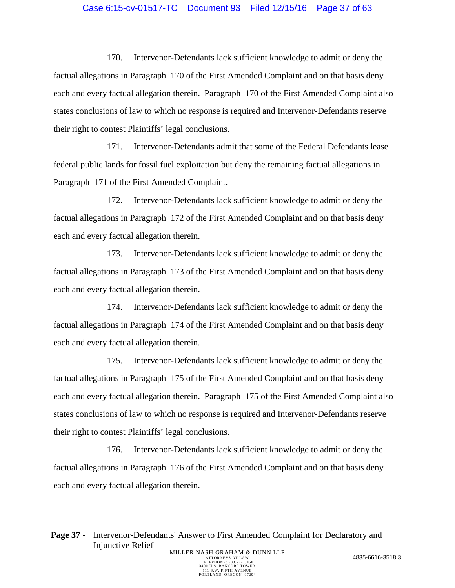#### Case 6:15-cv-01517-TC Document 93 Filed 12/15/16 Page 37 of 63

170. Intervenor-Defendants lack sufficient knowledge to admit or deny the factual allegations in Paragraph 170 of the First Amended Complaint and on that basis deny each and every factual allegation therein. Paragraph 170 of the First Amended Complaint also states conclusions of law to which no response is required and Intervenor-Defendants reserve their right to contest Plaintiffs' legal conclusions.

171. Intervenor-Defendants admit that some of the Federal Defendants lease federal public lands for fossil fuel exploitation but deny the remaining factual allegations in Paragraph 171 of the First Amended Complaint.

172. Intervenor-Defendants lack sufficient knowledge to admit or deny the factual allegations in Paragraph 172 of the First Amended Complaint and on that basis deny each and every factual allegation therein.

173. Intervenor-Defendants lack sufficient knowledge to admit or deny the factual allegations in Paragraph 173 of the First Amended Complaint and on that basis deny each and every factual allegation therein.

174. Intervenor-Defendants lack sufficient knowledge to admit or deny the factual allegations in Paragraph 174 of the First Amended Complaint and on that basis deny each and every factual allegation therein.

175. Intervenor-Defendants lack sufficient knowledge to admit or deny the factual allegations in Paragraph 175 of the First Amended Complaint and on that basis deny each and every factual allegation therein. Paragraph 175 of the First Amended Complaint also states conclusions of law to which no response is required and Intervenor-Defendants reserve their right to contest Plaintiffs' legal conclusions.

176. Intervenor-Defendants lack sufficient knowledge to admit or deny the factual allegations in Paragraph 176 of the First Amended Complaint and on that basis deny each and every factual allegation therein.

Page 37 - Intervenor-Defendants' Answer to First Amended Complaint for Declaratory and Injunctive Relief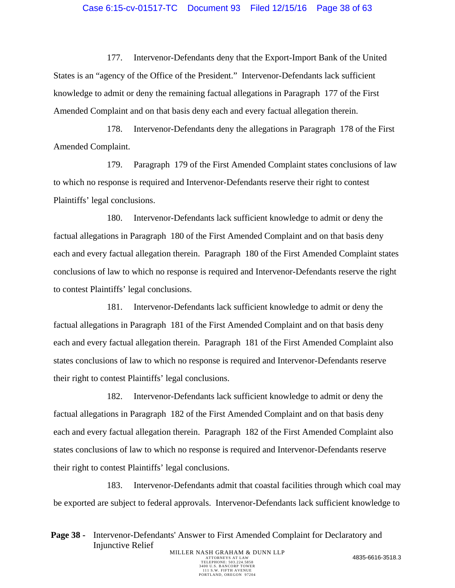#### Case 6:15-cv-01517-TC Document 93 Filed 12/15/16 Page 38 of 63

177. Intervenor-Defendants deny that the Export-Import Bank of the United States is an "agency of the Office of the President." Intervenor-Defendants lack sufficient knowledge to admit or deny the remaining factual allegations in Paragraph 177 of the First Amended Complaint and on that basis deny each and every factual allegation therein.

178. Intervenor-Defendants deny the allegations in Paragraph 178 of the First Amended Complaint.

179. Paragraph 179 of the First Amended Complaint states conclusions of law to which no response is required and Intervenor-Defendants reserve their right to contest Plaintiffs' legal conclusions.

180. Intervenor-Defendants lack sufficient knowledge to admit or deny the factual allegations in Paragraph 180 of the First Amended Complaint and on that basis deny each and every factual allegation therein. Paragraph 180 of the First Amended Complaint states conclusions of law to which no response is required and Intervenor-Defendants reserve the right to contest Plaintiffs' legal conclusions.

181. Intervenor-Defendants lack sufficient knowledge to admit or deny the factual allegations in Paragraph 181 of the First Amended Complaint and on that basis deny each and every factual allegation therein. Paragraph 181 of the First Amended Complaint also states conclusions of law to which no response is required and Intervenor-Defendants reserve their right to contest Plaintiffs' legal conclusions.

182. Intervenor-Defendants lack sufficient knowledge to admit or deny the factual allegations in Paragraph 182 of the First Amended Complaint and on that basis deny each and every factual allegation therein. Paragraph 182 of the First Amended Complaint also states conclusions of law to which no response is required and Intervenor-Defendants reserve their right to contest Plaintiffs' legal conclusions.

183. Intervenor-Defendants admit that coastal facilities through which coal may be exported are subject to federal approvals. Intervenor-Defendants lack sufficient knowledge to

Page 38 - Intervenor-Defendants' Answer to First Amended Complaint for Declaratory and Injunctive Relief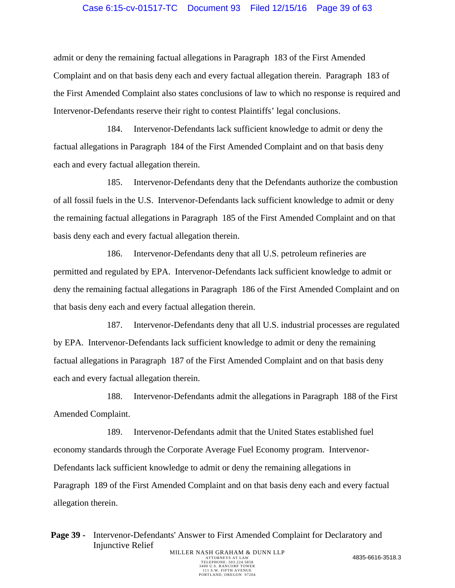#### Case 6:15-cv-01517-TC Document 93 Filed 12/15/16 Page 39 of 63

admit or deny the remaining factual allegations in Paragraph 183 of the First Amended Complaint and on that basis deny each and every factual allegation therein. Paragraph 183 of the First Amended Complaint also states conclusions of law to which no response is required and Intervenor-Defendants reserve their right to contest Plaintiffs' legal conclusions.

184. Intervenor-Defendants lack sufficient knowledge to admit or deny the factual allegations in Paragraph 184 of the First Amended Complaint and on that basis deny each and every factual allegation therein.

185. Intervenor-Defendants deny that the Defendants authorize the combustion of all fossil fuels in the U.S. Intervenor-Defendants lack sufficient knowledge to admit or deny the remaining factual allegations in Paragraph 185 of the First Amended Complaint and on that basis deny each and every factual allegation therein.

186. Intervenor-Defendants deny that all U.S. petroleum refineries are permitted and regulated by EPA. Intervenor-Defendants lack sufficient knowledge to admit or deny the remaining factual allegations in Paragraph 186 of the First Amended Complaint and on that basis deny each and every factual allegation therein.

187. Intervenor-Defendants deny that all U.S. industrial processes are regulated by EPA. Intervenor-Defendants lack sufficient knowledge to admit or deny the remaining factual allegations in Paragraph 187 of the First Amended Complaint and on that basis deny each and every factual allegation therein.

188. Intervenor-Defendants admit the allegations in Paragraph 188 of the First Amended Complaint.

189. Intervenor-Defendants admit that the United States established fuel economy standards through the Corporate Average Fuel Economy program. Intervenor-Defendants lack sufficient knowledge to admit or deny the remaining allegations in Paragraph 189 of the First Amended Complaint and on that basis deny each and every factual allegation therein.

**Page 39 -** Intervenor-Defendants' Answer to First Amended Complaint for Declaratory and Injunctive Relief MILLER NASH GRAHAM & DUNN LLP<br>ATTORNEYS AT LAW ATTORNEYS AT LAW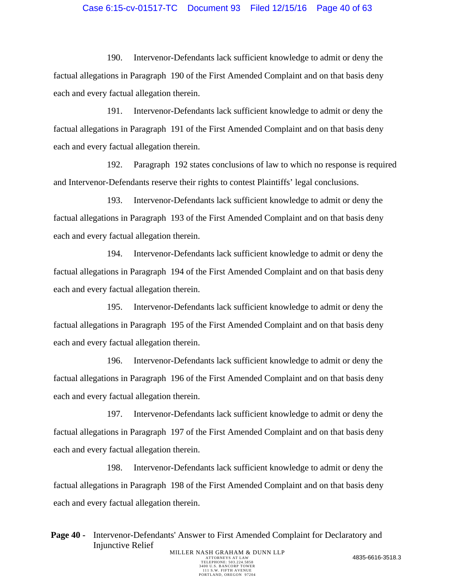## Case 6:15-cv-01517-TC Document 93 Filed 12/15/16 Page 40 of 63

190. Intervenor-Defendants lack sufficient knowledge to admit or deny the factual allegations in Paragraph 190 of the First Amended Complaint and on that basis deny each and every factual allegation therein.

191. Intervenor-Defendants lack sufficient knowledge to admit or deny the factual allegations in Paragraph 191 of the First Amended Complaint and on that basis deny each and every factual allegation therein.

192. Paragraph 192 states conclusions of law to which no response is required and Intervenor-Defendants reserve their rights to contest Plaintiffs' legal conclusions.

193. Intervenor-Defendants lack sufficient knowledge to admit or deny the factual allegations in Paragraph 193 of the First Amended Complaint and on that basis deny each and every factual allegation therein.

194. Intervenor-Defendants lack sufficient knowledge to admit or deny the factual allegations in Paragraph 194 of the First Amended Complaint and on that basis deny each and every factual allegation therein.

195. Intervenor-Defendants lack sufficient knowledge to admit or deny the factual allegations in Paragraph 195 of the First Amended Complaint and on that basis deny each and every factual allegation therein.

196. Intervenor-Defendants lack sufficient knowledge to admit or deny the factual allegations in Paragraph 196 of the First Amended Complaint and on that basis deny each and every factual allegation therein.

197. Intervenor-Defendants lack sufficient knowledge to admit or deny the factual allegations in Paragraph 197 of the First Amended Complaint and on that basis deny each and every factual allegation therein.

198. Intervenor-Defendants lack sufficient knowledge to admit or deny the factual allegations in Paragraph 198 of the First Amended Complaint and on that basis deny each and every factual allegation therein.

Page 40 - Intervenor-Defendants' Answer to First Amended Complaint for Declaratory and Injunctive Relief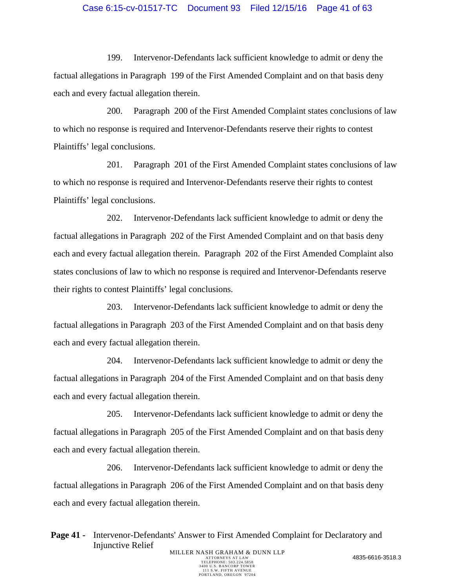## Case 6:15-cv-01517-TC Document 93 Filed 12/15/16 Page 41 of 63

199. Intervenor-Defendants lack sufficient knowledge to admit or deny the factual allegations in Paragraph 199 of the First Amended Complaint and on that basis deny each and every factual allegation therein.

200. Paragraph 200 of the First Amended Complaint states conclusions of law to which no response is required and Intervenor-Defendants reserve their rights to contest Plaintiffs' legal conclusions.

201. Paragraph 201 of the First Amended Complaint states conclusions of law to which no response is required and Intervenor-Defendants reserve their rights to contest Plaintiffs' legal conclusions.

202. Intervenor-Defendants lack sufficient knowledge to admit or deny the factual allegations in Paragraph 202 of the First Amended Complaint and on that basis deny each and every factual allegation therein. Paragraph 202 of the First Amended Complaint also states conclusions of law to which no response is required and Intervenor-Defendants reserve their rights to contest Plaintiffs' legal conclusions.

203. Intervenor-Defendants lack sufficient knowledge to admit or deny the factual allegations in Paragraph 203 of the First Amended Complaint and on that basis deny each and every factual allegation therein.

204. Intervenor-Defendants lack sufficient knowledge to admit or deny the factual allegations in Paragraph 204 of the First Amended Complaint and on that basis deny each and every factual allegation therein.

205. Intervenor-Defendants lack sufficient knowledge to admit or deny the factual allegations in Paragraph 205 of the First Amended Complaint and on that basis deny each and every factual allegation therein.

206. Intervenor-Defendants lack sufficient knowledge to admit or deny the factual allegations in Paragraph 206 of the First Amended Complaint and on that basis deny each and every factual allegation therein.

**Page 41 -** Intervenor-Defendants' Answer to First Amended Complaint for Declaratory and Injunctive Relief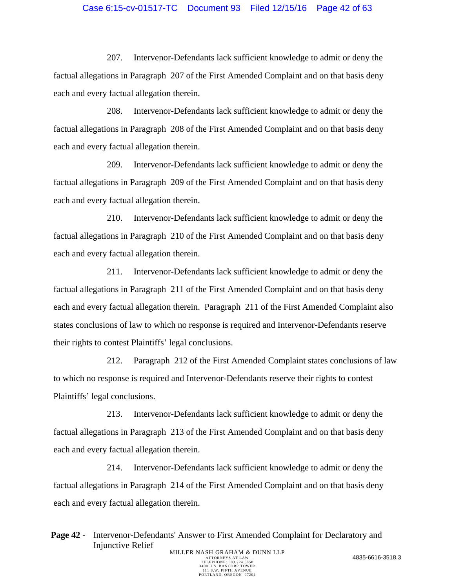## Case 6:15-cv-01517-TC Document 93 Filed 12/15/16 Page 42 of 63

207. Intervenor-Defendants lack sufficient knowledge to admit or deny the factual allegations in Paragraph 207 of the First Amended Complaint and on that basis deny each and every factual allegation therein.

208. Intervenor-Defendants lack sufficient knowledge to admit or deny the factual allegations in Paragraph 208 of the First Amended Complaint and on that basis deny each and every factual allegation therein.

209. Intervenor-Defendants lack sufficient knowledge to admit or deny the factual allegations in Paragraph 209 of the First Amended Complaint and on that basis deny each and every factual allegation therein.

210. Intervenor-Defendants lack sufficient knowledge to admit or deny the factual allegations in Paragraph 210 of the First Amended Complaint and on that basis deny each and every factual allegation therein.

211. Intervenor-Defendants lack sufficient knowledge to admit or deny the factual allegations in Paragraph 211 of the First Amended Complaint and on that basis deny each and every factual allegation therein. Paragraph 211 of the First Amended Complaint also states conclusions of law to which no response is required and Intervenor-Defendants reserve their rights to contest Plaintiffs' legal conclusions.

212. Paragraph 212 of the First Amended Complaint states conclusions of law to which no response is required and Intervenor-Defendants reserve their rights to contest Plaintiffs' legal conclusions.

213. Intervenor-Defendants lack sufficient knowledge to admit or deny the factual allegations in Paragraph 213 of the First Amended Complaint and on that basis deny each and every factual allegation therein.

214. Intervenor-Defendants lack sufficient knowledge to admit or deny the factual allegations in Paragraph 214 of the First Amended Complaint and on that basis deny each and every factual allegation therein.

**Page 42 -** Intervenor-Defendants' Answer to First Amended Complaint for Declaratory and Injunctive Relief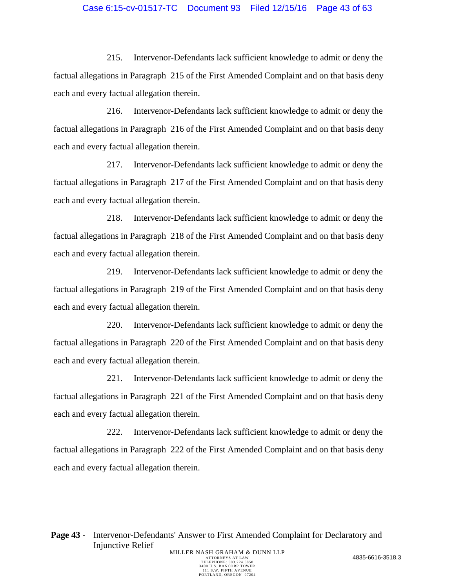## Case 6:15-cv-01517-TC Document 93 Filed 12/15/16 Page 43 of 63

215. Intervenor-Defendants lack sufficient knowledge to admit or deny the factual allegations in Paragraph 215 of the First Amended Complaint and on that basis deny each and every factual allegation therein.

216. Intervenor-Defendants lack sufficient knowledge to admit or deny the factual allegations in Paragraph 216 of the First Amended Complaint and on that basis deny each and every factual allegation therein.

217. Intervenor-Defendants lack sufficient knowledge to admit or deny the factual allegations in Paragraph 217 of the First Amended Complaint and on that basis deny each and every factual allegation therein.

218. Intervenor-Defendants lack sufficient knowledge to admit or deny the factual allegations in Paragraph 218 of the First Amended Complaint and on that basis deny each and every factual allegation therein.

219. Intervenor-Defendants lack sufficient knowledge to admit or deny the factual allegations in Paragraph 219 of the First Amended Complaint and on that basis deny each and every factual allegation therein.

220. Intervenor-Defendants lack sufficient knowledge to admit or deny the factual allegations in Paragraph 220 of the First Amended Complaint and on that basis deny each and every factual allegation therein.

221. Intervenor-Defendants lack sufficient knowledge to admit or deny the factual allegations in Paragraph 221 of the First Amended Complaint and on that basis deny each and every factual allegation therein.

222. Intervenor-Defendants lack sufficient knowledge to admit or deny the factual allegations in Paragraph 222 of the First Amended Complaint and on that basis deny each and every factual allegation therein.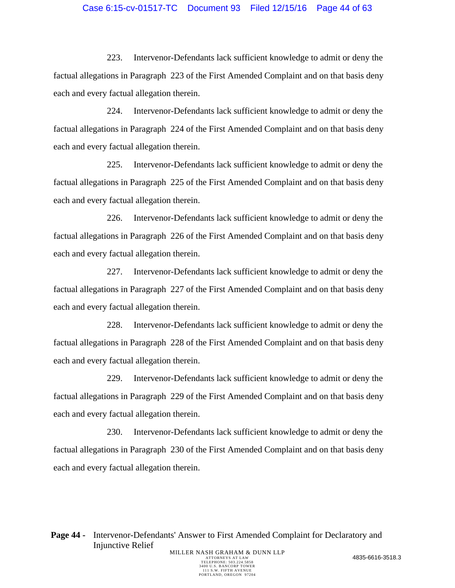## Case 6:15-cv-01517-TC Document 93 Filed 12/15/16 Page 44 of 63

223. Intervenor-Defendants lack sufficient knowledge to admit or deny the factual allegations in Paragraph 223 of the First Amended Complaint and on that basis deny each and every factual allegation therein.

224. Intervenor-Defendants lack sufficient knowledge to admit or deny the factual allegations in Paragraph 224 of the First Amended Complaint and on that basis deny each and every factual allegation therein.

225. Intervenor-Defendants lack sufficient knowledge to admit or deny the factual allegations in Paragraph 225 of the First Amended Complaint and on that basis deny each and every factual allegation therein.

226. Intervenor-Defendants lack sufficient knowledge to admit or deny the factual allegations in Paragraph 226 of the First Amended Complaint and on that basis deny each and every factual allegation therein.

227. Intervenor-Defendants lack sufficient knowledge to admit or deny the factual allegations in Paragraph 227 of the First Amended Complaint and on that basis deny each and every factual allegation therein.

228. Intervenor-Defendants lack sufficient knowledge to admit or deny the factual allegations in Paragraph 228 of the First Amended Complaint and on that basis deny each and every factual allegation therein.

229. Intervenor-Defendants lack sufficient knowledge to admit or deny the factual allegations in Paragraph 229 of the First Amended Complaint and on that basis deny each and every factual allegation therein.

230. Intervenor-Defendants lack sufficient knowledge to admit or deny the factual allegations in Paragraph 230 of the First Amended Complaint and on that basis deny each and every factual allegation therein.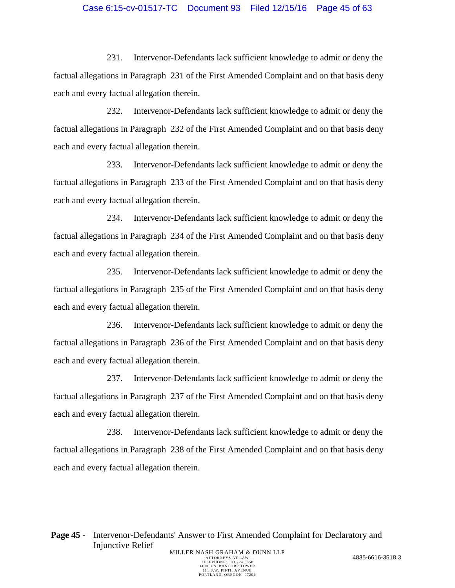## Case 6:15-cv-01517-TC Document 93 Filed 12/15/16 Page 45 of 63

231. Intervenor-Defendants lack sufficient knowledge to admit or deny the factual allegations in Paragraph 231 of the First Amended Complaint and on that basis deny each and every factual allegation therein.

232. Intervenor-Defendants lack sufficient knowledge to admit or deny the factual allegations in Paragraph 232 of the First Amended Complaint and on that basis deny each and every factual allegation therein.

233. Intervenor-Defendants lack sufficient knowledge to admit or deny the factual allegations in Paragraph 233 of the First Amended Complaint and on that basis deny each and every factual allegation therein.

234. Intervenor-Defendants lack sufficient knowledge to admit or deny the factual allegations in Paragraph 234 of the First Amended Complaint and on that basis deny each and every factual allegation therein.

235. Intervenor-Defendants lack sufficient knowledge to admit or deny the factual allegations in Paragraph 235 of the First Amended Complaint and on that basis deny each and every factual allegation therein.

236. Intervenor-Defendants lack sufficient knowledge to admit or deny the factual allegations in Paragraph 236 of the First Amended Complaint and on that basis deny each and every factual allegation therein.

237. Intervenor-Defendants lack sufficient knowledge to admit or deny the factual allegations in Paragraph 237 of the First Amended Complaint and on that basis deny each and every factual allegation therein.

238. Intervenor-Defendants lack sufficient knowledge to admit or deny the factual allegations in Paragraph 238 of the First Amended Complaint and on that basis deny each and every factual allegation therein.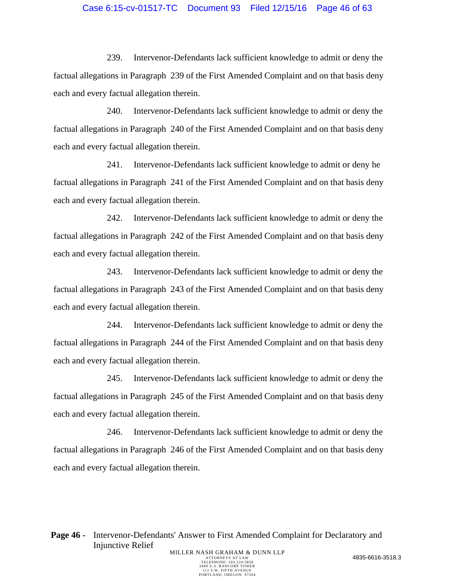## Case 6:15-cv-01517-TC Document 93 Filed 12/15/16 Page 46 of 63

239. Intervenor-Defendants lack sufficient knowledge to admit or deny the factual allegations in Paragraph 239 of the First Amended Complaint and on that basis deny each and every factual allegation therein.

240. Intervenor-Defendants lack sufficient knowledge to admit or deny the factual allegations in Paragraph 240 of the First Amended Complaint and on that basis deny each and every factual allegation therein.

241. Intervenor-Defendants lack sufficient knowledge to admit or deny he factual allegations in Paragraph 241 of the First Amended Complaint and on that basis deny each and every factual allegation therein.

242. Intervenor-Defendants lack sufficient knowledge to admit or deny the factual allegations in Paragraph 242 of the First Amended Complaint and on that basis deny each and every factual allegation therein.

243. Intervenor-Defendants lack sufficient knowledge to admit or deny the factual allegations in Paragraph 243 of the First Amended Complaint and on that basis deny each and every factual allegation therein.

244. Intervenor-Defendants lack sufficient knowledge to admit or deny the factual allegations in Paragraph 244 of the First Amended Complaint and on that basis deny each and every factual allegation therein.

245. Intervenor-Defendants lack sufficient knowledge to admit or deny the factual allegations in Paragraph 245 of the First Amended Complaint and on that basis deny each and every factual allegation therein.

246. Intervenor-Defendants lack sufficient knowledge to admit or deny the factual allegations in Paragraph 246 of the First Amended Complaint and on that basis deny each and every factual allegation therein.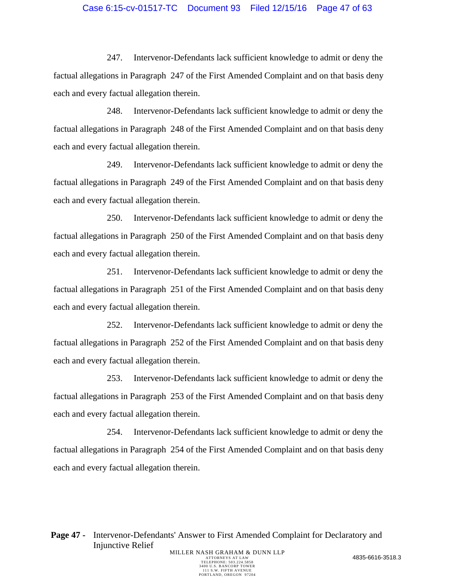## Case 6:15-cv-01517-TC Document 93 Filed 12/15/16 Page 47 of 63

247. Intervenor-Defendants lack sufficient knowledge to admit or deny the factual allegations in Paragraph 247 of the First Amended Complaint and on that basis deny each and every factual allegation therein.

248. Intervenor-Defendants lack sufficient knowledge to admit or deny the factual allegations in Paragraph 248 of the First Amended Complaint and on that basis deny each and every factual allegation therein.

249. Intervenor-Defendants lack sufficient knowledge to admit or deny the factual allegations in Paragraph 249 of the First Amended Complaint and on that basis deny each and every factual allegation therein.

250. Intervenor-Defendants lack sufficient knowledge to admit or deny the factual allegations in Paragraph 250 of the First Amended Complaint and on that basis deny each and every factual allegation therein.

251. Intervenor-Defendants lack sufficient knowledge to admit or deny the factual allegations in Paragraph 251 of the First Amended Complaint and on that basis deny each and every factual allegation therein.

252. Intervenor-Defendants lack sufficient knowledge to admit or deny the factual allegations in Paragraph 252 of the First Amended Complaint and on that basis deny each and every factual allegation therein.

253. Intervenor-Defendants lack sufficient knowledge to admit or deny the factual allegations in Paragraph 253 of the First Amended Complaint and on that basis deny each and every factual allegation therein.

254. Intervenor-Defendants lack sufficient knowledge to admit or deny the factual allegations in Paragraph 254 of the First Amended Complaint and on that basis deny each and every factual allegation therein.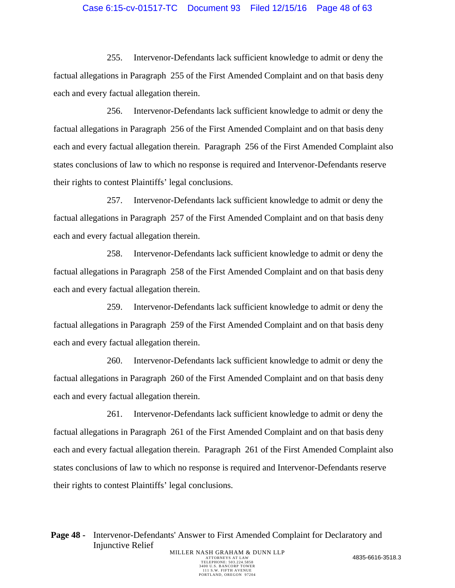#### Case 6:15-cv-01517-TC Document 93 Filed 12/15/16 Page 48 of 63

255. Intervenor-Defendants lack sufficient knowledge to admit or deny the factual allegations in Paragraph 255 of the First Amended Complaint and on that basis deny each and every factual allegation therein.

256. Intervenor-Defendants lack sufficient knowledge to admit or deny the factual allegations in Paragraph 256 of the First Amended Complaint and on that basis deny each and every factual allegation therein. Paragraph 256 of the First Amended Complaint also states conclusions of law to which no response is required and Intervenor-Defendants reserve their rights to contest Plaintiffs' legal conclusions.

257. Intervenor-Defendants lack sufficient knowledge to admit or deny the factual allegations in Paragraph 257 of the First Amended Complaint and on that basis deny each and every factual allegation therein.

258. Intervenor-Defendants lack sufficient knowledge to admit or deny the factual allegations in Paragraph 258 of the First Amended Complaint and on that basis deny each and every factual allegation therein.

259. Intervenor-Defendants lack sufficient knowledge to admit or deny the factual allegations in Paragraph 259 of the First Amended Complaint and on that basis deny each and every factual allegation therein.

260. Intervenor-Defendants lack sufficient knowledge to admit or deny the factual allegations in Paragraph 260 of the First Amended Complaint and on that basis deny each and every factual allegation therein.

261. Intervenor-Defendants lack sufficient knowledge to admit or deny the factual allegations in Paragraph 261 of the First Amended Complaint and on that basis deny each and every factual allegation therein. Paragraph 261 of the First Amended Complaint also states conclusions of law to which no response is required and Intervenor-Defendants reserve their rights to contest Plaintiffs' legal conclusions.

Page 48 - Intervenor-Defendants' Answer to First Amended Complaint for Declaratory and Injunctive Relief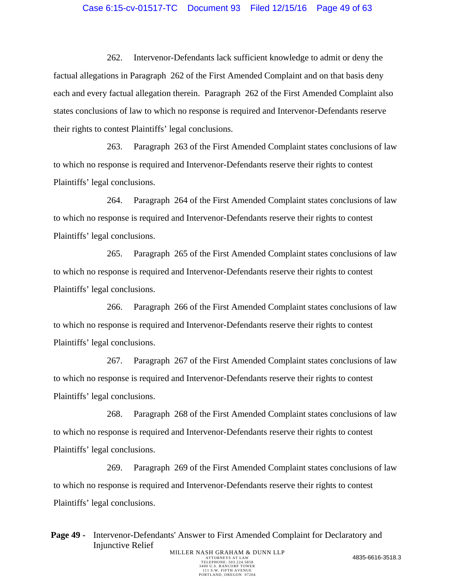#### Case 6:15-cv-01517-TC Document 93 Filed 12/15/16 Page 49 of 63

262. Intervenor-Defendants lack sufficient knowledge to admit or deny the factual allegations in Paragraph 262 of the First Amended Complaint and on that basis deny each and every factual allegation therein. Paragraph 262 of the First Amended Complaint also states conclusions of law to which no response is required and Intervenor-Defendants reserve their rights to contest Plaintiffs' legal conclusions.

263. Paragraph 263 of the First Amended Complaint states conclusions of law to which no response is required and Intervenor-Defendants reserve their rights to contest Plaintiffs' legal conclusions.

264. Paragraph 264 of the First Amended Complaint states conclusions of law to which no response is required and Intervenor-Defendants reserve their rights to contest Plaintiffs' legal conclusions.

265. Paragraph 265 of the First Amended Complaint states conclusions of law to which no response is required and Intervenor-Defendants reserve their rights to contest Plaintiffs' legal conclusions.

266. Paragraph 266 of the First Amended Complaint states conclusions of law to which no response is required and Intervenor-Defendants reserve their rights to contest Plaintiffs' legal conclusions.

267. Paragraph 267 of the First Amended Complaint states conclusions of law to which no response is required and Intervenor-Defendants reserve their rights to contest Plaintiffs' legal conclusions.

268. Paragraph 268 of the First Amended Complaint states conclusions of law to which no response is required and Intervenor-Defendants reserve their rights to contest Plaintiffs' legal conclusions.

269. Paragraph 269 of the First Amended Complaint states conclusions of law to which no response is required and Intervenor-Defendants reserve their rights to contest Plaintiffs' legal conclusions.

**Page 49 -** Intervenor-Defendants' Answer to First Amended Complaint for Declaratory and Injunctive Relief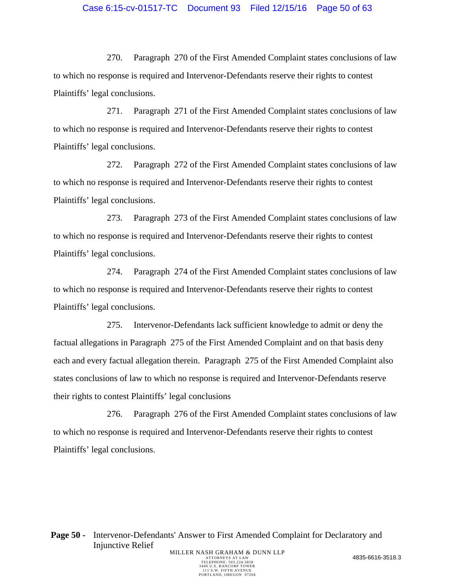## Case 6:15-cv-01517-TC Document 93 Filed 12/15/16 Page 50 of 63

270. Paragraph 270 of the First Amended Complaint states conclusions of law to which no response is required and Intervenor-Defendants reserve their rights to contest Plaintiffs' legal conclusions.

271. Paragraph 271 of the First Amended Complaint states conclusions of law to which no response is required and Intervenor-Defendants reserve their rights to contest Plaintiffs' legal conclusions.

272. Paragraph 272 of the First Amended Complaint states conclusions of law to which no response is required and Intervenor-Defendants reserve their rights to contest Plaintiffs' legal conclusions.

273. Paragraph 273 of the First Amended Complaint states conclusions of law to which no response is required and Intervenor-Defendants reserve their rights to contest Plaintiffs' legal conclusions.

274. Paragraph 274 of the First Amended Complaint states conclusions of law to which no response is required and Intervenor-Defendants reserve their rights to contest Plaintiffs' legal conclusions.

275. Intervenor-Defendants lack sufficient knowledge to admit or deny the factual allegations in Paragraph 275 of the First Amended Complaint and on that basis deny each and every factual allegation therein. Paragraph 275 of the First Amended Complaint also states conclusions of law to which no response is required and Intervenor-Defendants reserve their rights to contest Plaintiffs' legal conclusions

276. Paragraph 276 of the First Amended Complaint states conclusions of law to which no response is required and Intervenor-Defendants reserve their rights to contest Plaintiffs' legal conclusions.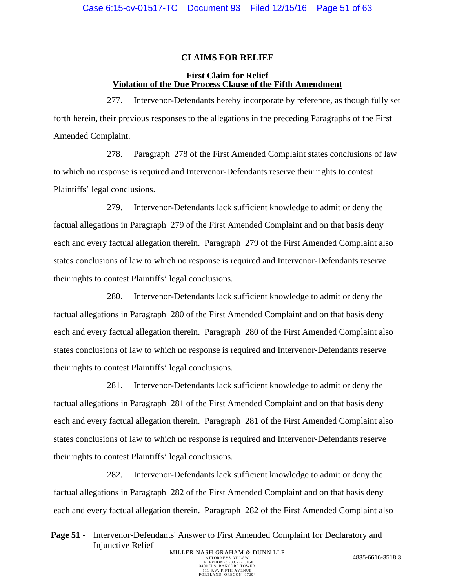### **CLAIMS FOR RELIEF**

## **First Claim for Relief Violation of the Due Process Clause of the Fifth Amendment**

277. Intervenor-Defendants hereby incorporate by reference, as though fully set forth herein, their previous responses to the allegations in the preceding Paragraphs of the First Amended Complaint.

278. Paragraph 278 of the First Amended Complaint states conclusions of law to which no response is required and Intervenor-Defendants reserve their rights to contest Plaintiffs' legal conclusions.

279. Intervenor-Defendants lack sufficient knowledge to admit or deny the factual allegations in Paragraph 279 of the First Amended Complaint and on that basis deny each and every factual allegation therein. Paragraph 279 of the First Amended Complaint also states conclusions of law to which no response is required and Intervenor-Defendants reserve their rights to contest Plaintiffs' legal conclusions.

280. Intervenor-Defendants lack sufficient knowledge to admit or deny the factual allegations in Paragraph 280 of the First Amended Complaint and on that basis deny each and every factual allegation therein. Paragraph 280 of the First Amended Complaint also states conclusions of law to which no response is required and Intervenor-Defendants reserve their rights to contest Plaintiffs' legal conclusions.

281. Intervenor-Defendants lack sufficient knowledge to admit or deny the factual allegations in Paragraph 281 of the First Amended Complaint and on that basis deny each and every factual allegation therein. Paragraph 281 of the First Amended Complaint also states conclusions of law to which no response is required and Intervenor-Defendants reserve their rights to contest Plaintiffs' legal conclusions.

282. Intervenor-Defendants lack sufficient knowledge to admit or deny the factual allegations in Paragraph 282 of the First Amended Complaint and on that basis deny each and every factual allegation therein. Paragraph 282 of the First Amended Complaint also

Page 51 - Intervenor-Defendants' Answer to First Amended Complaint for Declaratory and Injunctive Relief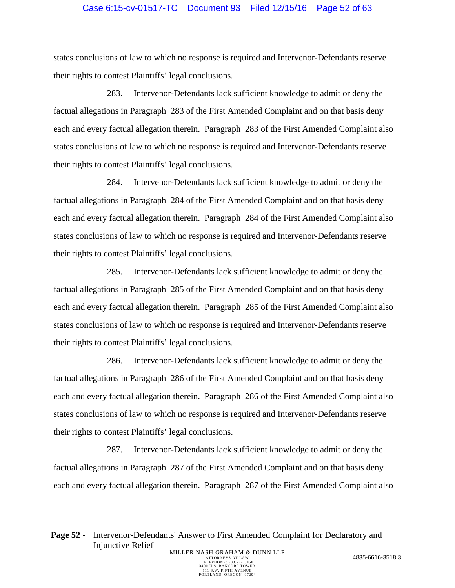## Case 6:15-cv-01517-TC Document 93 Filed 12/15/16 Page 52 of 63

states conclusions of law to which no response is required and Intervenor-Defendants reserve their rights to contest Plaintiffs' legal conclusions.

283. Intervenor-Defendants lack sufficient knowledge to admit or deny the factual allegations in Paragraph 283 of the First Amended Complaint and on that basis deny each and every factual allegation therein. Paragraph 283 of the First Amended Complaint also states conclusions of law to which no response is required and Intervenor-Defendants reserve their rights to contest Plaintiffs' legal conclusions.

284. Intervenor-Defendants lack sufficient knowledge to admit or deny the factual allegations in Paragraph 284 of the First Amended Complaint and on that basis deny each and every factual allegation therein. Paragraph 284 of the First Amended Complaint also states conclusions of law to which no response is required and Intervenor-Defendants reserve their rights to contest Plaintiffs' legal conclusions.

285. Intervenor-Defendants lack sufficient knowledge to admit or deny the factual allegations in Paragraph 285 of the First Amended Complaint and on that basis deny each and every factual allegation therein. Paragraph 285 of the First Amended Complaint also states conclusions of law to which no response is required and Intervenor-Defendants reserve their rights to contest Plaintiffs' legal conclusions.

286. Intervenor-Defendants lack sufficient knowledge to admit or deny the factual allegations in Paragraph 286 of the First Amended Complaint and on that basis deny each and every factual allegation therein. Paragraph 286 of the First Amended Complaint also states conclusions of law to which no response is required and Intervenor-Defendants reserve their rights to contest Plaintiffs' legal conclusions.

287. Intervenor-Defendants lack sufficient knowledge to admit or deny the factual allegations in Paragraph 287 of the First Amended Complaint and on that basis deny each and every factual allegation therein. Paragraph 287 of the First Amended Complaint also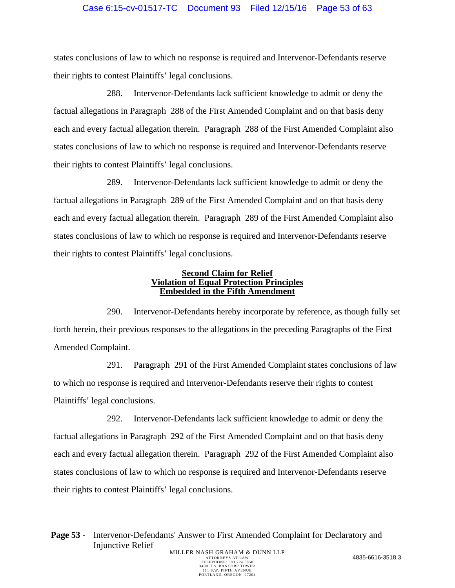## Case 6:15-cv-01517-TC Document 93 Filed 12/15/16 Page 53 of 63

states conclusions of law to which no response is required and Intervenor-Defendants reserve their rights to contest Plaintiffs' legal conclusions.

288. Intervenor-Defendants lack sufficient knowledge to admit or deny the factual allegations in Paragraph 288 of the First Amended Complaint and on that basis deny each and every factual allegation therein. Paragraph 288 of the First Amended Complaint also states conclusions of law to which no response is required and Intervenor-Defendants reserve their rights to contest Plaintiffs' legal conclusions.

289. Intervenor-Defendants lack sufficient knowledge to admit or deny the factual allegations in Paragraph 289 of the First Amended Complaint and on that basis deny each and every factual allegation therein. Paragraph 289 of the First Amended Complaint also states conclusions of law to which no response is required and Intervenor-Defendants reserve their rights to contest Plaintiffs' legal conclusions.

#### **Second Claim for Relief Violation of Equal Protection Principles Embedded in the Fifth Amendment**

290. Intervenor-Defendants hereby incorporate by reference, as though fully set forth herein, their previous responses to the allegations in the preceding Paragraphs of the First Amended Complaint.

291. Paragraph 291 of the First Amended Complaint states conclusions of law to which no response is required and Intervenor-Defendants reserve their rights to contest Plaintiffs' legal conclusions.

292. Intervenor-Defendants lack sufficient knowledge to admit or deny the factual allegations in Paragraph 292 of the First Amended Complaint and on that basis deny each and every factual allegation therein. Paragraph 292 of the First Amended Complaint also states conclusions of law to which no response is required and Intervenor-Defendants reserve their rights to contest Plaintiffs' legal conclusions.

**Page 53 -** Intervenor-Defendants' Answer to First Amended Complaint for Declaratory and Injunctive Relief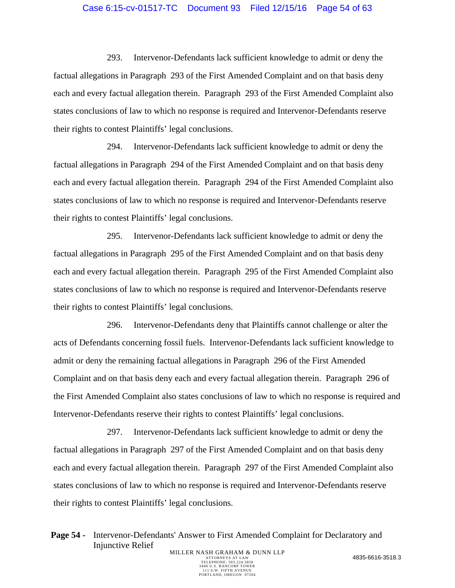#### Case 6:15-cv-01517-TC Document 93 Filed 12/15/16 Page 54 of 63

293. Intervenor-Defendants lack sufficient knowledge to admit or deny the factual allegations in Paragraph 293 of the First Amended Complaint and on that basis deny each and every factual allegation therein. Paragraph 293 of the First Amended Complaint also states conclusions of law to which no response is required and Intervenor-Defendants reserve their rights to contest Plaintiffs' legal conclusions.

294. Intervenor-Defendants lack sufficient knowledge to admit or deny the factual allegations in Paragraph 294 of the First Amended Complaint and on that basis deny each and every factual allegation therein. Paragraph 294 of the First Amended Complaint also states conclusions of law to which no response is required and Intervenor-Defendants reserve their rights to contest Plaintiffs' legal conclusions.

295. Intervenor-Defendants lack sufficient knowledge to admit or deny the factual allegations in Paragraph 295 of the First Amended Complaint and on that basis deny each and every factual allegation therein. Paragraph 295 of the First Amended Complaint also states conclusions of law to which no response is required and Intervenor-Defendants reserve their rights to contest Plaintiffs' legal conclusions.

296. Intervenor-Defendants deny that Plaintiffs cannot challenge or alter the acts of Defendants concerning fossil fuels. Intervenor-Defendants lack sufficient knowledge to admit or deny the remaining factual allegations in Paragraph 296 of the First Amended Complaint and on that basis deny each and every factual allegation therein. Paragraph 296 of the First Amended Complaint also states conclusions of law to which no response is required and Intervenor-Defendants reserve their rights to contest Plaintiffs' legal conclusions.

297. Intervenor-Defendants lack sufficient knowledge to admit or deny the factual allegations in Paragraph 297 of the First Amended Complaint and on that basis deny each and every factual allegation therein. Paragraph 297 of the First Amended Complaint also states conclusions of law to which no response is required and Intervenor-Defendants reserve their rights to contest Plaintiffs' legal conclusions.

Page 54 - Intervenor-Defendants' Answer to First Amended Complaint for Declaratory and Injunctive Relief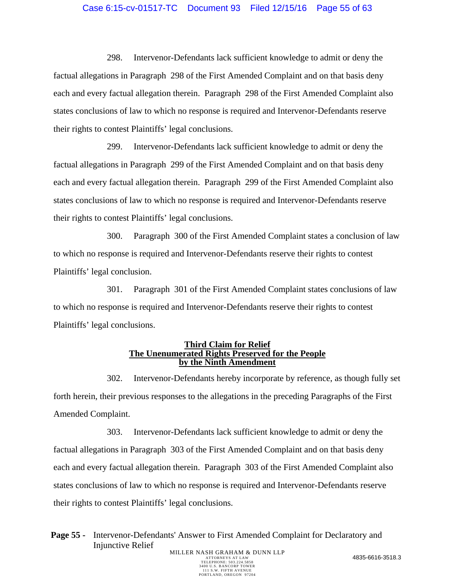## Case 6:15-cv-01517-TC Document 93 Filed 12/15/16 Page 55 of 63

298. Intervenor-Defendants lack sufficient knowledge to admit or deny the factual allegations in Paragraph 298 of the First Amended Complaint and on that basis deny each and every factual allegation therein. Paragraph 298 of the First Amended Complaint also states conclusions of law to which no response is required and Intervenor-Defendants reserve their rights to contest Plaintiffs' legal conclusions.

299. Intervenor-Defendants lack sufficient knowledge to admit or deny the factual allegations in Paragraph 299 of the First Amended Complaint and on that basis deny each and every factual allegation therein. Paragraph 299 of the First Amended Complaint also states conclusions of law to which no response is required and Intervenor-Defendants reserve their rights to contest Plaintiffs' legal conclusions.

300. Paragraph 300 of the First Amended Complaint states a conclusion of law to which no response is required and Intervenor-Defendants reserve their rights to contest Plaintiffs' legal conclusion.

301. Paragraph 301 of the First Amended Complaint states conclusions of law to which no response is required and Intervenor-Defendants reserve their rights to contest Plaintiffs' legal conclusions.

#### **Third Claim for Relief The Unenumerated Rights Preserved for the People by the Ninth Amendment**

302. Intervenor-Defendants hereby incorporate by reference, as though fully set forth herein, their previous responses to the allegations in the preceding Paragraphs of the First Amended Complaint.

303. Intervenor-Defendants lack sufficient knowledge to admit or deny the factual allegations in Paragraph 303 of the First Amended Complaint and on that basis deny each and every factual allegation therein. Paragraph 303 of the First Amended Complaint also states conclusions of law to which no response is required and Intervenor-Defendants reserve their rights to contest Plaintiffs' legal conclusions.

**Page 55 -** Intervenor-Defendants' Answer to First Amended Complaint for Declaratory and Injunctive Relief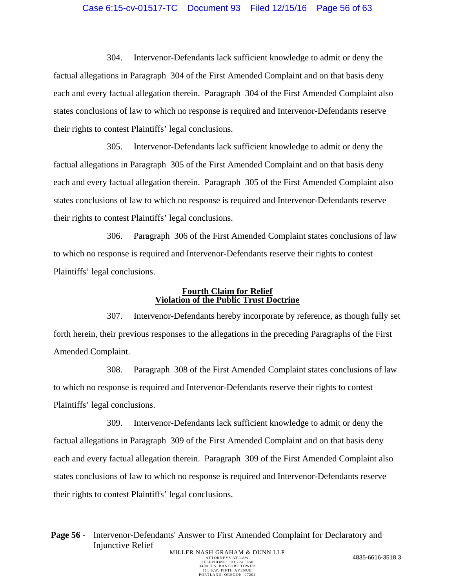#### Case 6:15-cv-01517-TC Document 93 Filed 12/15/16 Page 56 of 63

304. Intervenor-Defendants lack sufficient knowledge to admit or deny the factual allegations in Paragraph 304 of the First Amended Complaint and on that basis deny each and every factual allegation therein. Paragraph 304 of the First Amended Complaint also states conclusions of law to which no response is required and Intervenor-Defendants reserve their rights to contest Plaintiffs' legal conclusions.

305. Intervenor-Defendants lack sufficient knowledge to admit or deny the factual allegations in Paragraph 305 of the First Amended Complaint and on that basis deny each and every factual allegation therein. Paragraph 305 of the First Amended Complaint also states conclusions of law to which no response is required and Intervenor-Defendants reserve their rights to contest Plaintiffs' legal conclusions.

306. Paragraph 306 of the First Amended Complaint states conclusions of law to which no response is required and Intervenor-Defendants reserve their rights to contest Plaintiffs' legal conclusions.

#### **Fourth Claim for Relief Violation of the Public Trust Doctrine**

307. Intervenor-Defendants hereby incorporate by reference, as though fully set forth herein, their previous responses to the allegations in the preceding Paragraphs of the First Amended Complaint.

308. Paragraph 308 of the First Amended Complaint states conclusions of law to which no response is required and Intervenor-Defendants reserve their rights to contest Plaintiffs' legal conclusions.

309. Intervenor-Defendants lack sufficient knowledge to admit or deny the factual allegations in Paragraph 309 of the First Amended Complaint and on that basis deny each and every factual allegation therein. Paragraph 309 of the First Amended Complaint also states conclusions of law to which no response is required and Intervenor-Defendants reserve their rights to contest Plaintiffs' legal conclusions.

Page 56 - Intervenor-Defendants' Answer to First Amended Complaint for Declaratory and Injunctive Relief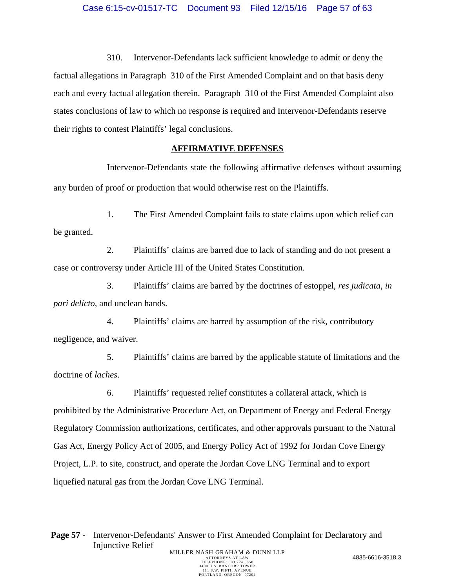## Case 6:15-cv-01517-TC Document 93 Filed 12/15/16 Page 57 of 63

310. Intervenor-Defendants lack sufficient knowledge to admit or deny the factual allegations in Paragraph 310 of the First Amended Complaint and on that basis deny each and every factual allegation therein. Paragraph 310 of the First Amended Complaint also states conclusions of law to which no response is required and Intervenor-Defendants reserve their rights to contest Plaintiffs' legal conclusions.

#### **AFFIRMATIVE DEFENSES**

Intervenor-Defendants state the following affirmative defenses without assuming any burden of proof or production that would otherwise rest on the Plaintiffs.

1. The First Amended Complaint fails to state claims upon which relief can be granted.

2. Plaintiffs' claims are barred due to lack of standing and do not present a case or controversy under Article III of the United States Constitution.

3. Plaintiffs' claims are barred by the doctrines of estoppel, *res judicata, in pari delicto*, and unclean hands.

4. Plaintiffs' claims are barred by assumption of the risk, contributory negligence, and waiver.

5. Plaintiffs' claims are barred by the applicable statute of limitations and the doctrine of *laches*.

6. Plaintiffs' requested relief constitutes a collateral attack, which is prohibited by the Administrative Procedure Act, on Department of Energy and Federal Energy Regulatory Commission authorizations, certificates, and other approvals pursuant to the Natural Gas Act, Energy Policy Act of 2005, and Energy Policy Act of 1992 for Jordan Cove Energy Project, L.P. to site, construct, and operate the Jordan Cove LNG Terminal and to export liquefied natural gas from the Jordan Cove LNG Terminal.

Page 57 - Intervenor-Defendants' Answer to First Amended Complaint for Declaratory and Injunctive Relief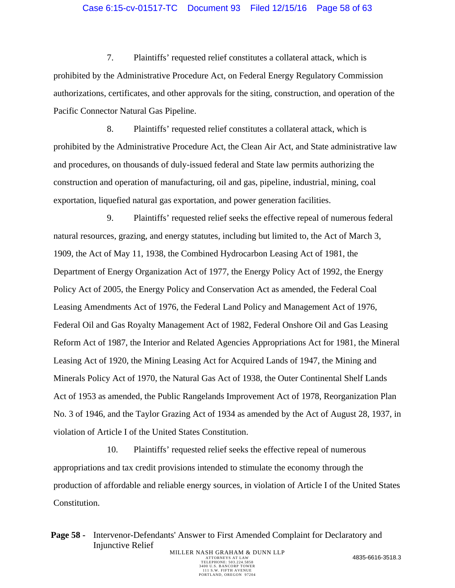## Case 6:15-cv-01517-TC Document 93 Filed 12/15/16 Page 58 of 63

7. Plaintiffs' requested relief constitutes a collateral attack, which is prohibited by the Administrative Procedure Act, on Federal Energy Regulatory Commission authorizations, certificates, and other approvals for the siting, construction, and operation of the Pacific Connector Natural Gas Pipeline.

8. Plaintiffs' requested relief constitutes a collateral attack, which is prohibited by the Administrative Procedure Act, the Clean Air Act, and State administrative law and procedures, on thousands of duly-issued federal and State law permits authorizing the construction and operation of manufacturing, oil and gas, pipeline, industrial, mining, coal exportation, liquefied natural gas exportation, and power generation facilities.

9. Plaintiffs' requested relief seeks the effective repeal of numerous federal natural resources, grazing, and energy statutes, including but limited to, the Act of March 3, 1909, the Act of May 11, 1938, the Combined Hydrocarbon Leasing Act of 1981, the Department of Energy Organization Act of 1977, the Energy Policy Act of 1992, the Energy Policy Act of 2005, the Energy Policy and Conservation Act as amended, the Federal Coal Leasing Amendments Act of 1976, the Federal Land Policy and Management Act of 1976, Federal Oil and Gas Royalty Management Act of 1982, Federal Onshore Oil and Gas Leasing Reform Act of 1987, the Interior and Related Agencies Appropriations Act for 1981, the Mineral Leasing Act of 1920, the Mining Leasing Act for Acquired Lands of 1947, the Mining and Minerals Policy Act of 1970, the Natural Gas Act of 1938, the Outer Continental Shelf Lands Act of 1953 as amended, the Public Rangelands Improvement Act of 1978, Reorganization Plan No. 3 of 1946, and the Taylor Grazing Act of 1934 as amended by the Act of August 28, 1937, in violation of Article I of the United States Constitution.

10. Plaintiffs' requested relief seeks the effective repeal of numerous appropriations and tax credit provisions intended to stimulate the economy through the production of affordable and reliable energy sources, in violation of Article I of the United States Constitution.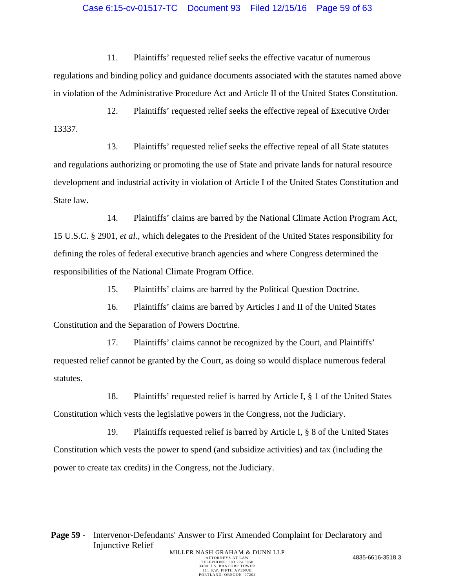#### Case 6:15-cv-01517-TC Document 93 Filed 12/15/16 Page 59 of 63

11. Plaintiffs' requested relief seeks the effective vacatur of numerous regulations and binding policy and guidance documents associated with the statutes named above in violation of the Administrative Procedure Act and Article II of the United States Constitution.

12. Plaintiffs' requested relief seeks the effective repeal of Executive Order 13337.

13. Plaintiffs' requested relief seeks the effective repeal of all State statutes and regulations authorizing or promoting the use of State and private lands for natural resource development and industrial activity in violation of Article I of the United States Constitution and State law.

14. Plaintiffs' claims are barred by the National Climate Action Program Act, 15 U.S.C. § 2901, *et al.*, which delegates to the President of the United States responsibility for defining the roles of federal executive branch agencies and where Congress determined the responsibilities of the National Climate Program Office.

15. Plaintiffs' claims are barred by the Political Question Doctrine.

16. Plaintiffs' claims are barred by Articles I and II of the United States Constitution and the Separation of Powers Doctrine.

17. Plaintiffs' claims cannot be recognized by the Court, and Plaintiffs' requested relief cannot be granted by the Court, as doing so would displace numerous federal statutes.

18. Plaintiffs' requested relief is barred by Article I, § 1 of the United States Constitution which vests the legislative powers in the Congress, not the Judiciary.

19. Plaintiffs requested relief is barred by Article I, § 8 of the United States Constitution which vests the power to spend (and subsidize activities) and tax (including the power to create tax credits) in the Congress, not the Judiciary.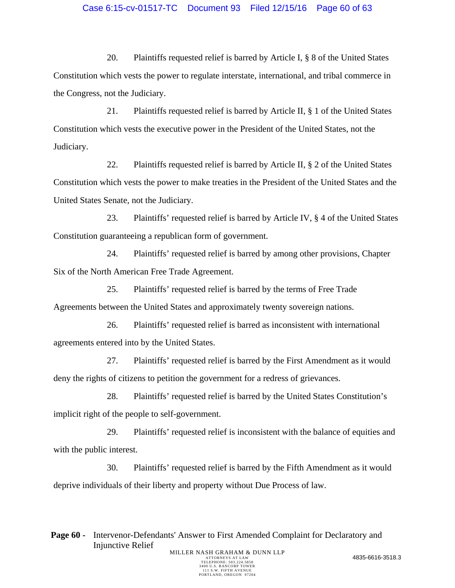## Case 6:15-cv-01517-TC Document 93 Filed 12/15/16 Page 60 of 63

20. Plaintiffs requested relief is barred by Article I, § 8 of the United States Constitution which vests the power to regulate interstate, international, and tribal commerce in the Congress, not the Judiciary.

21. Plaintiffs requested relief is barred by Article II, § 1 of the United States Constitution which vests the executive power in the President of the United States, not the Judiciary.

22. Plaintiffs requested relief is barred by Article II, § 2 of the United States Constitution which vests the power to make treaties in the President of the United States and the United States Senate, not the Judiciary.

23. Plaintiffs' requested relief is barred by Article IV, § 4 of the United States Constitution guaranteeing a republican form of government.

24. Plaintiffs' requested relief is barred by among other provisions, Chapter Six of the North American Free Trade Agreement.

25. Plaintiffs' requested relief is barred by the terms of Free Trade Agreements between the United States and approximately twenty sovereign nations.

26. Plaintiffs' requested relief is barred as inconsistent with international agreements entered into by the United States.

27. Plaintiffs' requested relief is barred by the First Amendment as it would deny the rights of citizens to petition the government for a redress of grievances.

28. Plaintiffs' requested relief is barred by the United States Constitution's implicit right of the people to self-government.

29. Plaintiffs' requested relief is inconsistent with the balance of equities and with the public interest.

30. Plaintiffs' requested relief is barred by the Fifth Amendment as it would deprive individuals of their liberty and property without Due Process of law.

Page 60 - Intervenor-Defendants' Answer to First Amended Complaint for Declaratory and Injunctive Relief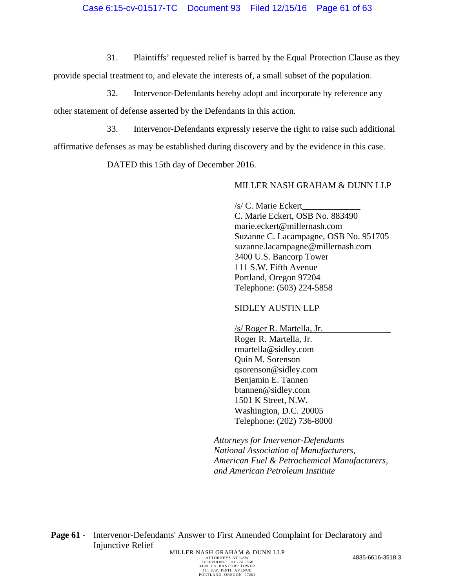31. Plaintiffs' requested relief is barred by the Equal Protection Clause as they

provide special treatment to, and elevate the interests of, a small subset of the population.

32. Intervenor-Defendants hereby adopt and incorporate by reference any

other statement of defense asserted by the Defendants in this action.

33. Intervenor-Defendants expressly reserve the right to raise such additional

affirmative defenses as may be established during discovery and by the evidence in this case.

DATED this 15th day of December 2016.

# MILLER NASH GRAHAM & DUNN LLP

/s/ C. Marie Eckert\_\_\_\_\_\_\_\_\_\_\_\_\_ C. Marie Eckert, OSB No. 883490 marie.eckert@millernash.com Suzanne C. Lacampagne, OSB No. 951705 suzanne.lacampagne@millernash.com 3400 U.S. Bancorp Tower 111 S.W. Fifth Avenue Portland, Oregon 97204 Telephone: (503) 224-5858

# SIDLEY AUSTIN LLP

/s/ Roger R. Martella, Jr.

Roger R. Martella, Jr. rmartella@sidley.com Quin M. Sorenson qsorenson@sidley.com Benjamin E. Tannen btannen@sidley.com 1501 K Street, N.W. Washington, D.C. 20005 Telephone: (202) 736-8000

 *Attorneys for Intervenor-Defendants National Association of Manufacturers, American Fuel & Petrochemical Manufacturers, and American Petroleum Institute* 

Page 61 - Intervenor-Defendants' Answer to First Amended Complaint for Declaratory and Injunctive Relief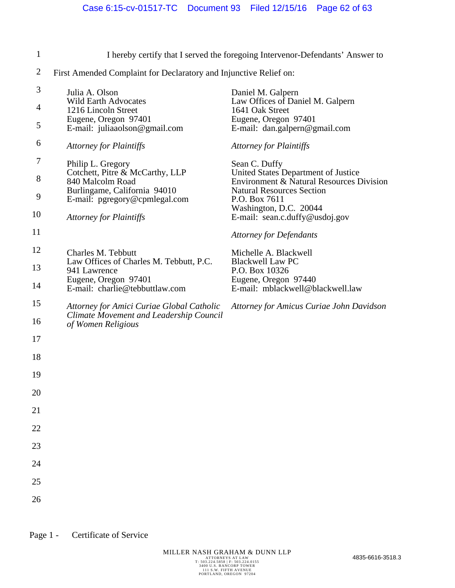| $\mathbf{1}$      |                                                                                                                                                                             | I hereby certify that I served the foregoing Intervenor-Defendants' Answer to                                                                                                                                     |  |
|-------------------|-----------------------------------------------------------------------------------------------------------------------------------------------------------------------------|-------------------------------------------------------------------------------------------------------------------------------------------------------------------------------------------------------------------|--|
| $\overline{c}$    | First Amended Complaint for Declaratory and Injunctive Relief on:                                                                                                           |                                                                                                                                                                                                                   |  |
| 3<br>4<br>5       | Julia A. Olson<br><b>Wild Earth Advocates</b><br>1216 Lincoln Street<br>Eugene, Oregon 97401<br>E-mail: juliaaolson@gmail.com                                               | Daniel M. Galpern<br>Law Offices of Daniel M. Galpern<br>1641 Oak Street<br>Eugene, Oregon 97401<br>E-mail: dan.galpern@gmail.com                                                                                 |  |
| 6                 | <b>Attorney for Plaintiffs</b>                                                                                                                                              | <b>Attorney for Plaintiffs</b>                                                                                                                                                                                    |  |
| 7<br>8<br>9<br>10 | Philip L. Gregory<br>Cotchett, Pitre & McCarthy, LLP<br>840 Malcolm Road<br>Burlingame, California 94010<br>E-mail: pgregory@cpmlegal.com<br><b>Attorney for Plaintiffs</b> | Sean C. Duffy<br>United States Department of Justice<br>Environment & Natural Resources Division<br><b>Natural Resources Section</b><br>P.O. Box 7611<br>Washington, D.C. 20044<br>E-mail: sean.c.duffy@usdoj.gov |  |
| 11                |                                                                                                                                                                             | <b>Attorney for Defendants</b>                                                                                                                                                                                    |  |
| 12<br>13<br>14    | Charles M. Tebbutt<br>Law Offices of Charles M. Tebbutt, P.C.<br>941 Lawrence<br>Eugene, Oregon 97401<br>E-mail: charlie@tebbuttlaw.com                                     | Michelle A. Blackwell<br><b>Blackwell Law PC</b><br>P.O. Box 10326<br>Eugene, Oregon 97440<br>E-mail: mblackwell@blackwell.law                                                                                    |  |
| 15<br>16          | Attorney for Amici Curiae Global Catholic<br>Climate Movement and Leadership Council<br>of Women Religious                                                                  | Attorney for Amicus Curiae John Davidson                                                                                                                                                                          |  |
| 17                |                                                                                                                                                                             |                                                                                                                                                                                                                   |  |
| 18                |                                                                                                                                                                             |                                                                                                                                                                                                                   |  |
| 19                |                                                                                                                                                                             |                                                                                                                                                                                                                   |  |
| 20                |                                                                                                                                                                             |                                                                                                                                                                                                                   |  |
| 21                |                                                                                                                                                                             |                                                                                                                                                                                                                   |  |
| 22                |                                                                                                                                                                             |                                                                                                                                                                                                                   |  |
| 23                |                                                                                                                                                                             |                                                                                                                                                                                                                   |  |
| 24                |                                                                                                                                                                             |                                                                                                                                                                                                                   |  |
| 25                |                                                                                                                                                                             |                                                                                                                                                                                                                   |  |
| 26                |                                                                                                                                                                             |                                                                                                                                                                                                                   |  |